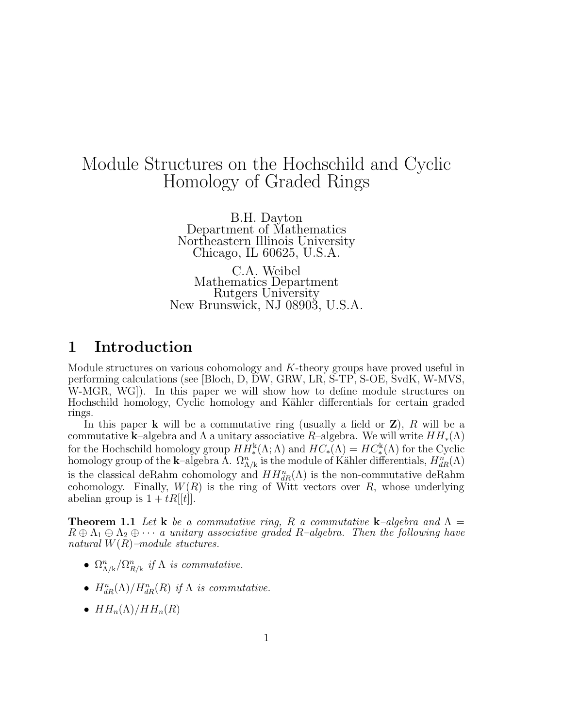# Module Structures on the Hochschild and Cyclic Homology of Graded Rings

B.H. Dayton Department of Mathematics Northeastern Illinois University Chicago, IL 60625, U.S.A.

C.A. Weibel Mathematics Department Rutgers University New Brunswick, NJ 08903, U.S.A.

## 1 Introduction

Module structures on various cohomology and  $K$ -theory groups have proved useful in performing calculations (see [Bloch, D, DW, GRW, LR, S-TP, S-OE, SvdK, W-MVS, W-MGR, WG]). In this paper we will show how to define module structures on Hochschild homology, Cyclic homology and K¨ahler differentials for certain graded rings.

In this paper **k** will be a commutative ring (usually a field or  $\mathbf{Z}$ ), R will be a commutative k–algebra and  $\Lambda$  a unitary associative R–algebra. We will write  $HH_*(\Lambda)$ for the Hochschild homology group  $HH^k_*(\Lambda; \Lambda)$  and  $HC_*(\Lambda) = HC^k_*(\Lambda)$  for the Cyclic homology group of the **k**-algebra  $\Lambda$ .  $\Omega_{\Lambda/k}^n$  is the module of Kähler differentials,  $H_{dR}^n(\Lambda)$ is the classical deRahm cohomology and  $HH_{dR}^{n}(\Lambda)$  is the non-commutative deRahm cohomology. Finally,  $W(R)$  is the ring of Witt vectors over R, whose underlying abelian group is  $1 + tR[[t]].$ 

**Theorem 1.1** Let **k** be a commutative ring, R a commutative **k**-algebra and  $\Lambda$  =  $R \oplus \Lambda_1 \oplus \Lambda_2 \oplus \cdots$  a unitary associative graded R-algebra. Then the following have natural  $W(R)$ –module stuctures.

- $\Omega_{\Lambda/k}^n/\Omega_{R/k}^n$  if  $\Lambda$  is commutative.
- $H^n_{dR}(\Lambda)/H^n_{dR}(R)$  if  $\Lambda$  is commutative.
- $HH_n(\Lambda)/HH_n(R)$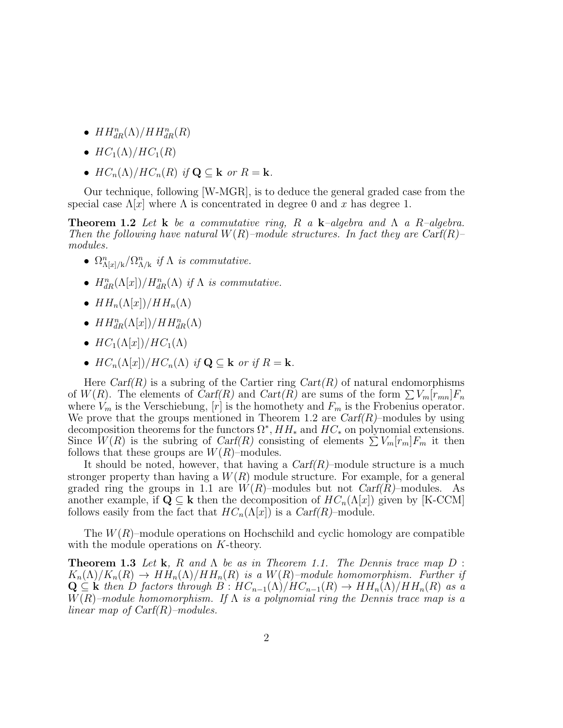- $HH_{dR}^n(\Lambda)/HH_{dR}^n(R)$
- $HC_1(\Lambda)/HC_1(R)$
- $HC_n(\Lambda)/HC_n(R)$  if  $\mathbf{Q} \subset \mathbf{k}$  or  $R = \mathbf{k}$ .

Our technique, following [W-MGR], is to deduce the general graded case from the special case  $\Lambda[x]$  where  $\Lambda$  is concentrated in degree 0 and x has degree 1.

**Theorem 1.2** Let **k** be a commutative ring, R a **k**-algebra and  $\Lambda$  a R-algebra. Then the following have natural  $W(R)$ –module structures. In fact they are Carf(R)– modules.

- $\Omega_{\Lambda[x]/k}^n / \Omega_{\Lambda/k}^n$  if  $\Lambda$  is commutative.
- $H^n_{dR}(\Lambda[x])/H^n_{dR}(\Lambda)$  if  $\Lambda$  is commutative.
- $HH_n(\Lambda[x])/HH_n(\Lambda)$
- $HH^n_{dR}(\Lambda[x])/HH^n_{dR}(\Lambda)$
- $HC_1(\Lambda[x])/HC_1(\Lambda)$
- $HC_n(\Lambda[x])/HC_n(\Lambda)$  if  $\mathbf{Q} \subset \mathbf{k}$  or if  $R = \mathbf{k}$ .

Here  $Carf(R)$  is a subring of the Cartier ring  $Cart(R)$  of natural endomorphisms of  $W(R)$ . The elements of  $Carf(R)$  and  $Cart(R)$  are sums of the form  $\sum V_m[r_{mn}]F_n$ where  $V_m$  is the Verschiebung,  $[r]$  is the homothety and  $F_m$  is the Frobenius operator. We prove that the groups mentioned in Theorem 1.2 are  $Carf(R)$ –modules by using decomposition theorems for the functors  $\Omega^*$ ,  $HH_*$  and  $HC_*$  on polynomial extensions. Since  $W(R)$  is the subring of Carf(R) consisting of elements  $\sum V_m[r_m]F_m$  it then follows that these groups are  $W(R)$ –modules.

It should be noted, however, that having a  $Carf(R)$ –module structure is a much stronger property than having a  $W(R)$  module structure. For example, for a general graded ring the groups in 1.1 are  $W(R)$ –modules but not  $Carf(R)$ –modules. As another example, if  $\mathbf{Q} \subseteq \mathbf{k}$  then the decomposition of  $HC_n(\Lambda[x])$  given by [K-CCM] follows easily from the fact that  $HC_n(\Lambda[x])$  is a  $Carf(R)$ –module.

The  $W(R)$ –module operations on Hochschild and cyclic homology are compatible with the module operations on K-theory.

**Theorem 1.3** Let **k**, R and  $\Lambda$  be as in Theorem 1.1. The Dennis trace map D :  $K_n(\Lambda)/K_n(R) \to HH_n(\Lambda)/HH_n(R)$  is a  $W(R)$ -module homomorphism. Further if  $\mathbf{Q} \subseteq \mathbf{k}$  then D factors through  $B : HC_{n-1}(\Lambda)/HC_{n-1}(R) \to HH_n(\Lambda)/HH_n(R)$  as a  $W(R)$ –module homomorphism. If  $\Lambda$  is a polynomial ring the Dennis trace map is a linear map of  $\text{Carf}(R)$ –modules.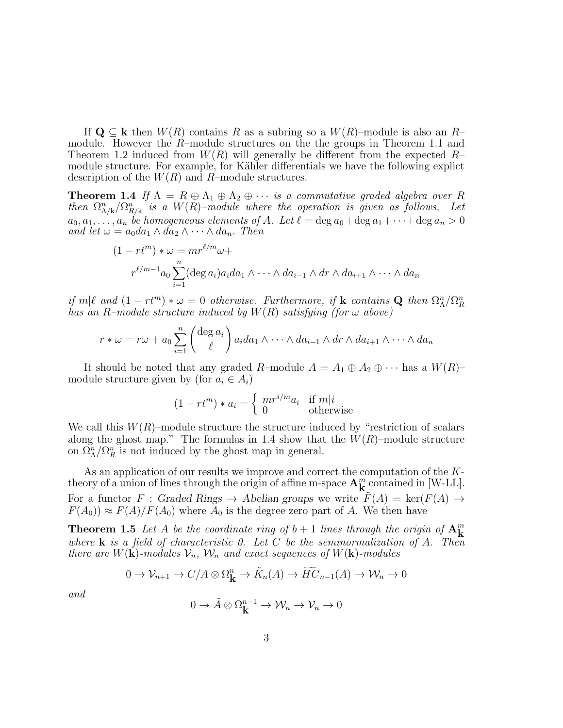If  $\mathbf{Q} \subseteq \mathbf{k}$  then  $W(R)$  contains R as a subring so a  $W(R)$ –module is also an R– module. However the R–module structures on the the groups in Theorem 1.1 and Theorem 1.2 induced from  $W(R)$  will generally be different from the expected  $R$ module structure. For example, for Kähler differentials we have the following explict description of the  $W(R)$  and R-module structures.

**Theorem 1.4** If  $\Lambda = R \oplus \Lambda_1 \oplus \Lambda_2 \oplus \cdots$  is a commutative graded algebra over R then  $\Omega_{\Lambda/k}^n/\Omega_{R/k}^n$  is a  $W(R)$ -module where the operation is given as follows. Let  $a_0, a_1, \ldots, a_n$  be homogeneous elements of A. Let  $\ell = \deg a_0 + \deg a_1 + \cdots + \deg a_n > 0$ and let  $\omega = a_0 da_1 \wedge da_2 \wedge \cdots \wedge da_n$ . Then

$$
(1 - rt^m) * \omega = mr^{\ell/m} \omega +
$$
  

$$
r^{\ell/m-1} a_0 \sum_{i=1}^n (\deg a_i) a_i da_1 \wedge \cdots \wedge da_{i-1} \wedge dr \wedge da_{i+1} \wedge \cdots \wedge da_n
$$

if  $m|\ell$  and  $(1 - rt^m) * \omega = 0$  otherwise. Furthermore, if k contains Q then  $\Omega^n_{\Lambda}/\Omega^n_{R}$ has an R–module structure induced by  $W(R)$  satisfying (for  $\omega$  above)

$$
r * \omega = r\omega + a_0 \sum_{i=1}^n \left( \frac{\deg a_i}{\ell} \right) a_i da_1 \wedge \cdots \wedge da_{i-1} \wedge dr \wedge da_{i+1} \wedge \cdots \wedge da_n
$$

It should be noted that any graded R–module  $A = A_1 \oplus A_2 \oplus \cdots$  has a  $W(R)$ – module structure given by (for  $a_i \in A_i$ )

$$
(1 - rt^m) * a_i = \begin{cases} mr^{i/m}a_i & \text{if } m|i\\ 0 & \text{otherwise} \end{cases}
$$

We call this  $W(R)$ –module structure the structure induced by "restriction of scalars" along the ghost map." The formulas in 1.4 show that the  $W(R)$ –module structure on  $\Omega_{\Lambda}^n / \Omega_{R}^n$  is not induced by the ghost map in general.

As an application of our results we improve and correct the computation of the Ktheory of a union of lines through the origin of affine m-space  $A_K^m$  contained in [W-LL]. For a functor F : Graded Rings  $\rightarrow$  Abelian groups we write  $\tilde{F}(A) = \text{ker}(F(A) \rightarrow$  $F(A_0) \approx F(A)/F(A_0)$  where  $A_0$  is the degree zero part of A. We then have

**Theorem 1.5** Let A be the coordinate ring of  $b + 1$  lines through the origin of  $\mathbf{A}^m$ where **k** is a field of characteristic 0. Let C be the seminormalization of A. Then there are  $W(\mathbf{k})$ -modules  $\mathcal{V}_n$ ,  $\mathcal{W}_n$  and exact sequences of  $W(\mathbf{k})$ -modules

$$
0 \to \mathcal{V}_{n+1} \to C/A \otimes \Omega^n_{\mathbf{K}} \to \tilde{K}_n(A) \to \widetilde{HC}_{n-1}(A) \to \mathcal{W}_n \to 0
$$

and

$$
0 \to \tilde{A} \otimes \Omega_{\mathbf{k}}^{n-1} \to \mathcal{W}_n \to \mathcal{V}_n \to 0
$$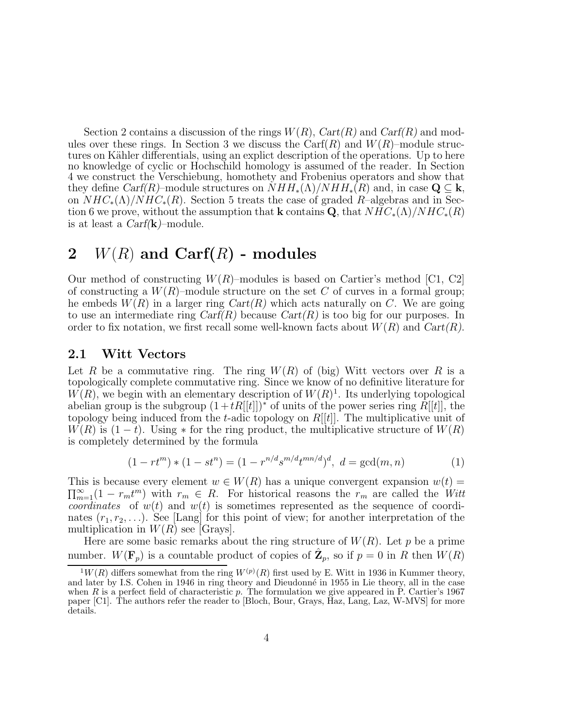Section 2 contains a discussion of the rings  $W(R)$ ,  $Cart(R)$  and  $Cart(R)$  and modules over these rings. In Section 3 we discuss the Carf $(R)$  and  $W(R)$ –module structures on Kähler differentials, using an explict description of the operations. Up to here no knowledge of cyclic or Hochschild homology is assumed of the reader. In Section 4 we construct the Verschiebung, homothety and Frobenius operators and show that they define  $Carf(R)$ –module structures on  $NHH_*(\Lambda)/NHH_*(R)$  and, in case  $\mathbf{Q} \subseteq \mathbf{k}$ , on  $NHC_*(\Lambda)/NHC_*(R)$ . Section 5 treats the case of graded R–algebras and in Section 6 we prove, without the assumption that k contains Q, that  $NHC_*(\Lambda)/NHC_*(R)$ is at least a  $Carf(\mathbf{k})$ -module.

## 2  $W(R)$  and Carf $(R)$  - modules

Our method of constructing  $W(R)$ –modules is based on Cartier's method [C1, C2] of constructing a  $W(R)$ –module structure on the set C of curves in a formal group; he embeds  $W(R)$  in a larger ring  $Cart(R)$  which acts naturally on C. We are going to use an intermediate ring  $Carf(R)$  because  $Cart(R)$  is too big for our purposes. In order to fix notation, we first recall some well-known facts about  $W(R)$  and  $Cart(R)$ .

### 2.1 Witt Vectors

Let R be a commutative ring. The ring  $W(R)$  of (big) Witt vectors over R is a topologically complete commutative ring. Since we know of no definitive literature for  $W(R)$ , we begin with an elementary description of  $W(R)^{1}$ . Its underlying topological abelian group is the subgroup  $(1+tR[[t]])^*$  of units of the power series ring  $R[[t]]$ , the topology being induced from the t-adic topology on  $R[[t]]$ . The multiplicative unit of  $W(R)$  is  $(1-t)$ . Using  $*$  for the ring product, the multiplicative structure of  $W(R)$ is completely determined by the formula

$$
(1 - rt^m) * (1 - st^n) = (1 - r^{n/d} s^{m/d} t^{mn/d})^d, \ d = \gcd(m, n)
$$
 (1)

This is because every element  $w \in W(R)$  has a unique convergent expansion  $w(t) =$  $\sum_{m=1}^{\infty} (1 - r_m t^m)$  with  $r_m \in R$ . For historical reasons the  $r_m$  are called the Witt coordinates of  $w(t)$  and  $w(t)$  is sometimes represented as the sequence of coordinates  $(r_1, r_2, \ldots)$ . See [Lang] for this point of view; for another interpretation of the multiplication in  $W(R)$  see [Grays].

Here are some basic remarks about the ring structure of  $W(R)$ . Let p be a prime number.  $W(\mathbf{F}_p)$  is a countable product of copies of  $\hat{\mathbf{Z}}_p$ , so if  $p = 0$  in R then  $W(R)$ 

 $1^1W(R)$  differs somewhat from the ring  $W^{(p)}(R)$  first used by E. Witt in 1936 in Kummer theory, and later by I.S. Cohen in 1946 in ring theory and Dieudonné in 1955 in Lie theory, all in the case when  $R$  is a perfect field of characteristic  $p$ . The formulation we give appeared in  $\overline{P}$ . Cartier's 1967 paper [C1]. The authors refer the reader to [Bloch, Bour, Grays, Haz, Lang, Laz, W-MVS] for more details.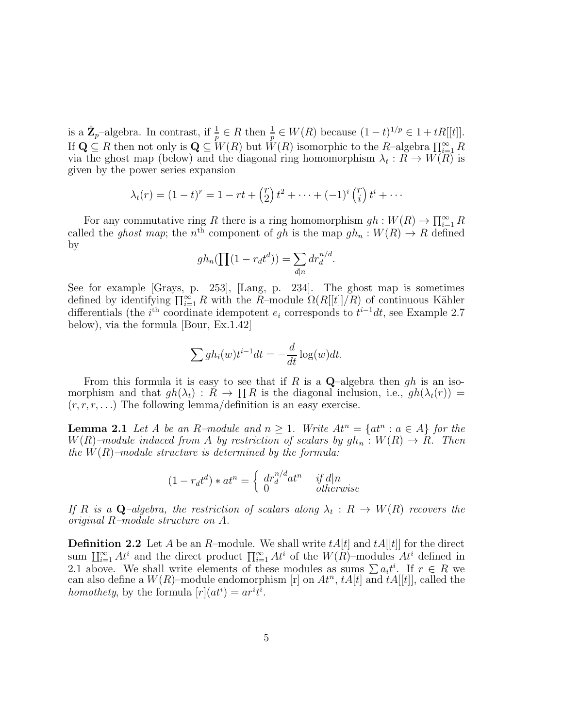is a  $\hat{\mathbf{Z}}_p$ -algebra. In contrast, if  $\frac{1}{p} \in R$  then  $\frac{1}{p} \in W(R)$  because  $(1-t)^{1/p} \in 1 + tR[[t]]$ . If  $\mathbf{Q} \subseteq R$  then not only is  $\mathbf{Q} \subseteq W(R)$  but  $W(R)$  isomorphic to the R–algebra  $\prod_{i=1}^{\infty} R_i$ via the ghost map (below) and the diagonal ring homomorphism  $\lambda_t: R \to W(R)$  is given by the power series expansion

$$
\lambda_t(r) = (1-t)^r = 1 - rt + {r \choose 2} t^2 + \dots + (-1)^i {r \choose i} t^i + \dots
$$

For any commutative ring R there is a ring homomorphism  $gh: W(R) \to \prod_{i=1}^{\infty} R$ called the *ghost map*; the n<sup>th</sup> component of gh is the map  $gh_n : W(R) \to R$  defined by

$$
gh_n(\prod(1 - r_d t^d)) = \sum_{d|n} dr_d^{n/d}.
$$

See for example [Grays, p. 253], [Lang, p. 234]. The ghost map is sometimes defined by identifying  $\prod_{i=1}^{\infty} R$  with the  $R$ -module  $\Omega(R[[t]]/R)$  of continuous Kähler differentials (the  $i<sup>th</sup>$  coordinate idempotent  $e_i$  corresponds to  $t<sup>i-1</sup>dt$ , see Example 2.7 below), via the formula [Bour, Ex.1.42]

$$
\sum gh_i(w)t^{i-1}dt = -\frac{d}{dt}\log(w)dt.
$$

From this formula it is easy to see that if R is a  $\mathbf{Q}$ -algebra then gh is an isomorphism and that  $gh(\lambda_t) : R \to \prod R$  is the diagonal inclusion, i.e.,  $gh(\lambda_t(r)) =$  $(r, r, r, \ldots)$  The following lemma/definition is an easy exercise.

**Lemma 2.1** Let A be an R–module and  $n \geq 1$ . Write  $At^n = \{at^n : a \in A\}$  for the  $W(R)$ -module induced from A by restriction of scalars by  $gh_n : W(R) \to R$ . Then the  $W(R)$ -module structure is determined by the formula:

$$
(1 - r_d t^d) * a t^n = \begin{cases} dr_d^{n/d} a t^n & if d|n \\ 0 & otherwise \end{cases}
$$

If R is a Q-algebra, the restriction of scalars along  $\lambda_t : R \to W(R)$  recovers the original R–module structure on A.

**Definition 2.2** Let A be an R–module. We shall write  $tA[t]$  and  $tA[[t]]$  for the direct sum  $\prod_{i=1}^{\infty} At^i$  and the direct product  $\prod_{i=1}^{\infty} At^i$  of the  $W(R)$ –modules  $At^i$  defined in 2.1 above. We shall write elements of these modules as sums  $\sum a_i t^i$ . If  $r \in R$  we can also define a  $W(R)$ -module endomorphism [r] on  $At^n$ ,  $tA[t]$  and  $tA[[t]]$ , called the homothety, by the formula  $[r](at^i) = ar^it^i$ .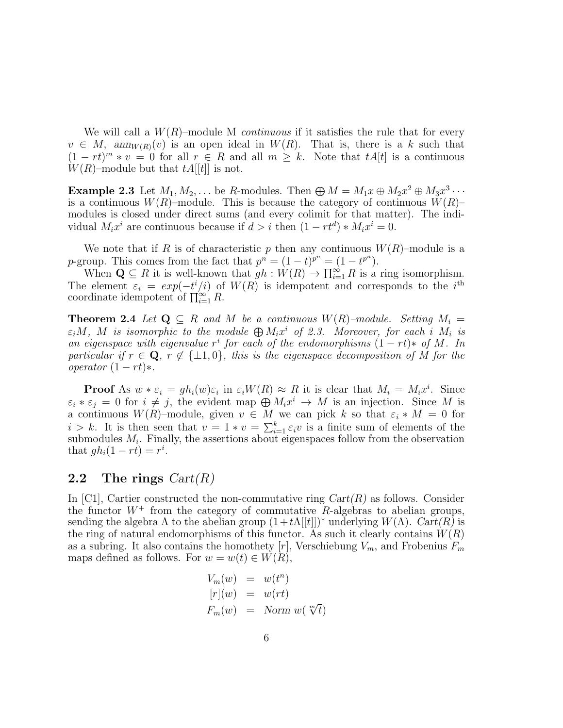We will call a  $W(R)$ –module M *continuous* if it satisfies the rule that for every  $v \in M$ ,  $ann_{W(R)}(v)$  is an open ideal in  $W(R)$ . That is, there is a k such that  $(1 - rt)^m * v = 0$  for all  $r \in R$  and all  $m \geq k$ . Note that  $tA[t]$  is a continuous  $W(R)$ –module but that  $tA[[t]]$  is not.

Example 2.3 Let  $M_1, M_2, \ldots$  be R-modules. Then  $\bigoplus M = M_1x \oplus M_2x^2 \oplus M_3x^3 \cdots$ is a continuous  $W(R)$ –module. This is because the category of continuous  $W(R)$ – modules is closed under direct sums (and every colimit for that matter). The individual  $M_i x^i$  are continuous because if  $d > i$  then  $(1 - rt^d) * M_i x^i = 0$ .

We note that if R is of characteristic p then any continuous  $W(R)$ –module is a p-group. This comes from the fact that  $p^n = (1-t)^{p^n} = (1-t^{p^n})$ .

When  $\mathbf{Q} \subseteq R$  it is well-known that  $gh: W(R) \to \prod_{i=1}^{\infty} R$  is a ring isomorphism. The element  $\varepsilon_i = exp(-t^i/i)$  of  $W(R)$  is idempotent and corresponds to the i<sup>th</sup> coordinate idempotent of  $\prod_{i=1}^{\infty} R$ .

**Theorem 2.4** Let  $Q \subseteq R$  and M be a continuous  $W(R)$ -module. Setting  $M_i =$  $\varepsilon_i M$ , M is isomorphic to the module  $\bigoplus M_i x^i$  of 2.3. Moreover, for each i  $M_i$  is an eigenspace with eigenvalue  $r^i$  for each of the endomorphisms  $(1 - rt) * of M$ . In particular if  $r \in \mathbf{Q}$ ,  $r \notin \{\pm 1, 0\}$ , this is the eigenspace decomposition of M for the operator  $(1 - rt)*$ .

**Proof** As  $w * \varepsilon_i = gh_i(w)\varepsilon_i$  in  $\varepsilon_i W(R) \approx R$  it is clear that  $M_i = M_i x^i$ . Since  $\varepsilon_i * \varepsilon_j = 0$  for  $i \neq j$ , the evident map  $\bigoplus M_i x^i \to M$  is an injection. Since M is a continuous  $W(R)$ –module, given  $v \in M$  we can pick k so that  $\varepsilon_i * M = 0$  for  $i > k$ . It is then seen that  $v = 1 * v = \sum_{i=1}^{k} \varepsilon_i v$  is a finite sum of elements of the submodules  $M_i$ . Finally, the assertions about eigenspaces follow from the observation that  $gh_i(1-rt) = r^i$ .

### 2.2 The rings  $Cart(R)$

In [C1], Cartier constructed the non-commutative ring  $Cart(R)$  as follows. Consider the functor  $W^+$  from the category of commutative R-algebras to abelian groups, sending the algebra  $\Lambda$  to the abelian group  $(1+t\Lambda[[t]])^*$  underlying  $W(\Lambda)$ . Cart $(R)$  is the ring of natural endomorphisms of this functor. As such it clearly contains  $W(R)$ as a subring. It also contains the homothety  $[r]$ , Verschiebung  $V_m$ , and Frobenius  $F_m$ maps defined as follows. For  $w = w(t) \in W(R)$ ,

$$
V_m(w) = w(t^n)
$$
  
\n
$$
[r](w) = w(rt)
$$
  
\n
$$
F_m(w) = \text{Norm } w(\sqrt[m]{t})
$$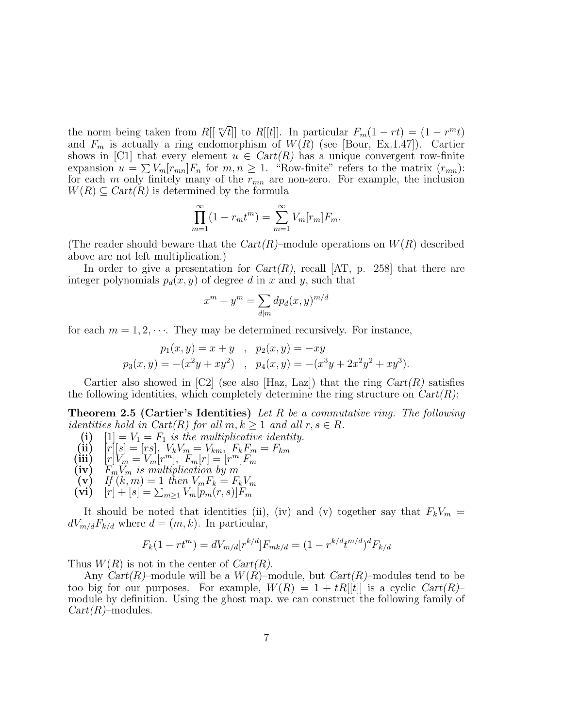the norm being taken from  $R[[\sqrt[m]{t}]]$  to  $R[[t]]$ . In particular  $F_m(1-rt) = (1-r^mt)$ and  $F_m$  is actually a ring endomorphism of  $W(R)$  (see [Bour, Ex.1.47]). Cartier shows in [C1] that every element  $u \in Cart(R)$  has a unique convergent row-finite expansion  $u = \sum_{m} V_m [r_{mn}] F_n$  for  $m, n \ge 1$ . "Row-finite" refers to the matrix  $(r_{mn})$ : for each m only finitely many of the  $r_{mn}$  are non-zero. For example, the inclusion  $W(R) \subseteq Cart(R)$  is determined by the formula

$$
\prod_{m=1}^{\infty} (1 - r_m t^m) = \sum_{m=1}^{\infty} V_m[r_m] F_m.
$$

(The reader should beware that the  $Cart(R)$ –module operations on  $W(R)$  described above are not left multiplication.)

In order to give a presentation for  $Cart(R)$ , recall  $[AT, p. 258]$  that there are integer polynomials  $p_d(x, y)$  of degree d in x and y, such that

$$
x^m + y^m = \sum_{d|m} dp_d(x, y)^{m/d}
$$

for each  $m = 1, 2, \cdots$ . They may be determined recursively. For instance,

$$
p_1(x, y) = x + y , p_2(x, y) = -xy p_3(x, y) = -(x2y + xy2) , p_4(x, y) = -(x3y + 2x2y2 + xy3).
$$

Cartier also showed in  $\mathcal{C}2$  (see also Haz, Laz) that the ring  $Cart(R)$  satisfies the following identities, which completely determine the ring structure on  $Cart(R)$ :

**Theorem 2.5 (Cartier's Identities)** Let R be a commutative ring. The following identities hold in Cart(R) for all  $m, k \ge 1$  and all  $r, s \in R$ .<br>(i)  $[1] = V_1 = F_1$  is the multiplicative identity.

\n- (i) 
$$
[1] = V_1 = F_1
$$
 is the multiplicative identity.
\n- (ii)  $[r][s] = [rs], V_k V_m = V_{km}, F_k F_m = F_{km}$
\n- (iii)  $[r]V_m = V_m[r^m], F_m[r] = [r^m]F_m$
\n- (iv)  $F_m V_m$  is multiplication by  $m$
\n- (v) If  $(k, m) = 1$  then  $V_m F_k = F_k V_m$
\n- (vi)  $[r] + [s] = \sum_{m \geq 1} V_m [p_m(r, s)] F_m$
\n

It should be noted that identities (ii), (iv) and (v) together say that  $F_kV_m =$  $dV_{m/d}F_{k/d}$  where  $d = (m, k)$ . In particular,

$$
F_k(1 - rt^m) = dV_{m/d}[r^{k/d}]F_{mk/d} = (1 - r^{k/d}t^{m/d})^d F_{k/d}
$$

Thus  $W(R)$  is not in the center of  $Cart(R)$ .

Any  $Cart(R)$ –module will be a  $W(R)$ –module, but  $Cart(R)$ –modules tend to be too big for our purposes. For example,  $W(R) = 1 + tR[[t]]$  is a cyclic  $Cart(R)$ module by definition. Using the ghost map, we can construct the following family of  $Cart(R)$ –modules.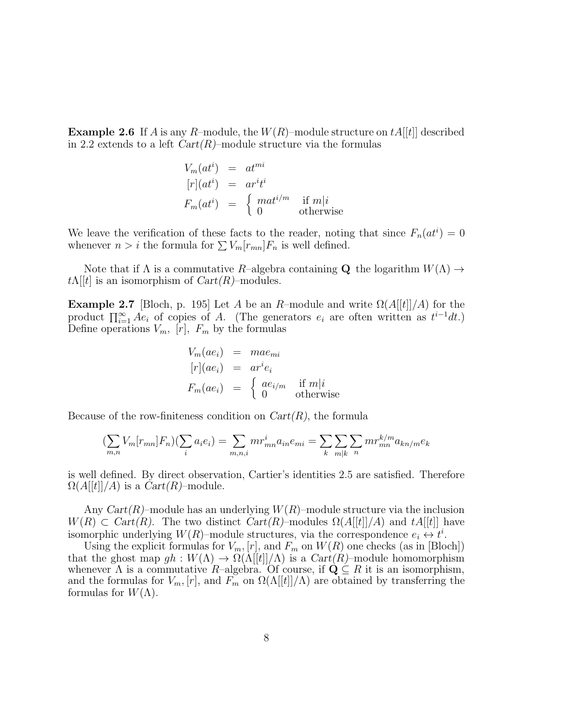**Example 2.6** If A is any R-module, the  $W(R)$ -module structure on  $tA[[t]]$  described in 2.2 extends to a left  $Cart(R)$ –module structure via the formulas

$$
V_m(at^i) = at^{mi}
$$
  
\n
$$
[r](at^i) = ar^it^i
$$
  
\n
$$
F_m(at^i) = \begin{cases} mat^{i/m} & \text{if } m|i\\ 0 & \text{otherwise} \end{cases}
$$

We leave the verification of these facts to the reader, noting that since  $F_n(at^i) = 0$ whenever  $n > i$  the formula for  $\sum V_m [r_{mn}]F_n$  is well defined.

Note that if  $\Lambda$  is a commutative  $R$ –algebra containing Q the logarithm  $W(\Lambda) \to$  $t\Lambda[[t]]$  is an isomorphism of  $Cart(R)$ –modules.

**Example 2.7** [Bloch, p. 195] Let A be an R–module and write  $\Omega(A[[t]]/A)$  for the product  $\prod_{i=1}^{\infty} Ae_i$  of copies of A. (The generators  $e_i$  are often written as  $t^{i-1}dt$ .) Define operations  $V_m$ ,  $[r]$ ,  $F_m$  by the formulas

$$
V_m(ae_i) = mae_{mi}
$$
  
\n
$$
[r](ae_i) = ar^i e_i
$$
  
\n
$$
F_m(ae_i) = \begin{cases} ae_{i/m} & \text{if } m|i\\ 0 & \text{otherwise} \end{cases}
$$

Because of the row-finiteness condition on  $Cart(R)$ , the formula

$$
\left(\sum_{m,n} V_m[r_{mn}]F_n\right)\left(\sum_i a_i e_i\right) = \sum_{m,n,i} mr_{mn}^i a_{in} e_{mi} = \sum_k \sum_{m|k} \sum_n mr_{mn}^{k/m} a_{kn/m} e_k
$$

is well defined. By direct observation, Cartier's identities 2.5 are satisfied. Therefore  $\Omega(A||t||/A)$  is a  $Cart(R)$ –module.

Any  $Cart(R)$ –module has an underlying  $W(R)$ –module structure via the inclusion  $W(R) \subset Cart(R)$ . The two distinct  $Cart(R)$ –modules  $\Omega(A[[t]]/A)$  and  $tA[[t]]$  have isomorphic underlying  $W(R)$ –module structures, via the correspondence  $e_i \leftrightarrow t^i$ .

Using the explicit formulas for  $V_m$ ,  $[r]$ , and  $F_m$  on  $W(R)$  one checks (as in [Bloch]) that the ghost map  $gh: W(\Lambda) \to \Omega(\Lambda[[t]]/\Lambda)$  is a  $Cart(R)$ -module homomorphism whenever  $\Lambda$  is a commutative  $R$ –algebra. Of course, if  $\mathbf{Q} \subseteq R$  it is an isomorphism, and the formulas for  $V_m$ ,  $[r]$ , and  $F_m$  on  $\Omega(\Lambda[[t]]/\Lambda)$  are obtained by transferring the formulas for  $W(\Lambda)$ .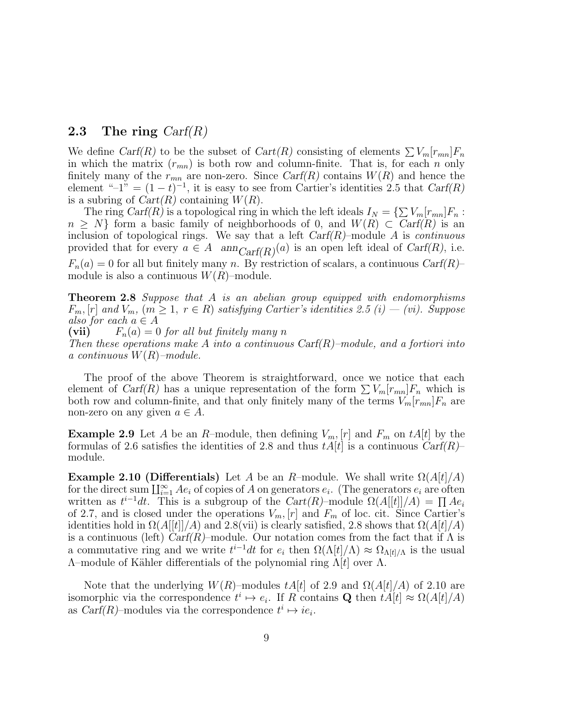### 2.3 The ring  $Carf(R)$

We define Carf(R) to be the subset of Cart(R) consisting of elements  $\sum V_m[r_{mn}]F_n$ in which the matrix  $(r_{mn})$  is both row and column-finite. That is, for each n only finitely many of the  $r_{mn}$  are non-zero. Since  $Carf(R)$  contains  $W(R)$  and hence the element " $^{-1}$ " =  $(1-t)^{-1}$ , it is easy to see from Cartier's identities 2.5 that  $Carf(R)$ is a subring of  $Cart(R)$  containing  $W(R)$ .

The ring Carf(R) is a topological ring in which the left ideals  $I_N = \{\sum V_m[r_{mn}]F_n :$  $n \geq N$  form a basic family of neighborhoods of 0, and  $W(R) \subset \text{Carf}(R)$  is an inclusion of topological rings. We say that a left  $Carf(R)$ –module A is *continuous* provided that for every  $a \in A$  and  $Carf(R)^{(a)}$  is an open left ideal of  $Carf(R)$ , i.e.  $F_n(a) = 0$  for all but finitely many n. By restriction of scalars, a continuous Carf(R)– module is also a continuous  $W(R)$ –module.

**Theorem 2.8** Suppose that A is an abelian group equipped with endomorphisms  $F_m$ ,  $[r]$  and  $V_m$ ,  $(m \geq 1, r \in R)$  satisfying Cartier's identities 2.5  $(i) - (vi)$ . Suppose also for each  $a \in A$ <br>(vii)  $F_n(a) = 0$ 

 $F_n(a) = 0$  for all but finitely many n

Then these operations make A into a continuous  $\text{Carf}(R)$ -module, and a fortiori into a continuous  $W(R)$ -module.

The proof of the above Theorem is straightforward, once we notice that each element of Carf(R) has a unique representation of the form  $\sum V_m [r_{mn}] F_n$  which is both row and column-finite, and that only finitely many of the terms  $V_m[r_{mn}]F_n$  are non-zero on any given  $a \in A$ .

**Example 2.9** Let A be an R-module, then defining  $V_m$ ,  $[r]$  and  $F_m$  on tA[t] by the formulas of 2.6 satisfies the identities of 2.8 and thus  $tA[t]$  is a continuous  $\text{Carf}(R)$ – module.

**Example 2.10 (Differentials)** Let A be an R–module. We shall write  $\Omega(A|t|/A)$ for the direct sum  $\coprod_{i=1}^{\infty} Ae_i$  of copies of A on generators  $e_i$ . (The generators  $e_i$  are often written as  $t^{i-1}dt$ . This is a subgroup of the  $Cart(R)$ -module  $\Omega(A[[t]]/A) = \prod Ae_i$ of 2.7, and is closed under the operations  $V_m$ ,  $[r]$  and  $F_m$  of loc. cit. Since Cartier's identities hold in  $\Omega(A[[t]]/A)$  and 2.8(vii) is clearly satisfied, 2.8 shows that  $\Omega(A[t]/A)$ is a continuous (left)  $Carf(R)$ –module. Our notation comes from the fact that if  $\Lambda$  is a commutative ring and we write  $t^{i-1}dt$  for  $e_i$  then  $\Omega(\Lambda[t]/\Lambda) \approx \Omega_{\Lambda[t]/\Lambda}$  is the usual  $Λ$ –module of Kähler differentials of the polynomial ring  $Λ[t]$  over Λ.

Note that the underlying  $W(R)$ –modules  $tA[t]$  of 2.9 and  $\Omega(A[t]/A)$  of 2.10 are isomorphic via the correspondence  $t^i \mapsto e_i$ . If R contains **Q** then  $tA[t] \approx \Omega(A[t]/A)$ as  $\text{Carf}(R)$ -modules via the correspondence  $t^i \mapsto ie_i$ .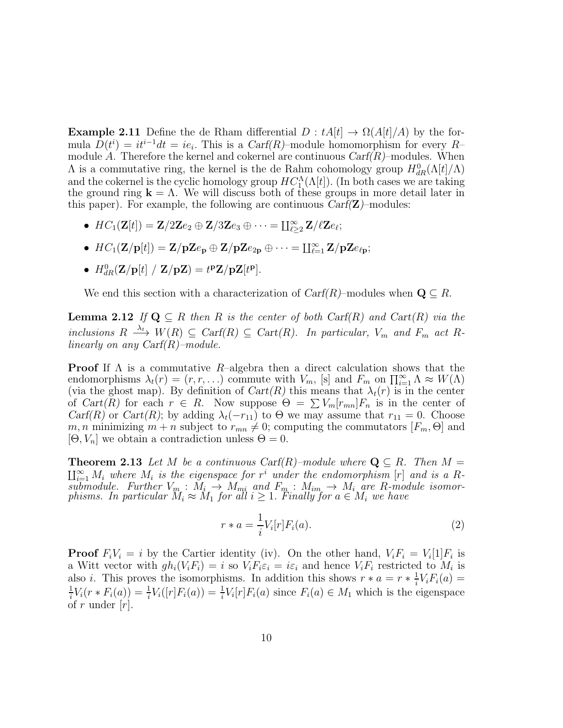**Example 2.11** Define the de Rham differential  $D : tA[t] \rightarrow \Omega(A[t]/A)$  by the formula  $D(t^i) = it^{i-1}dt = ie_i$ . This is a Carf(R)–module homomorphism for every R– module A. Therefore the kernel and cokernel are continuous  $Carf(R)$ –modules. When  $\Lambda$  is a commutative ring, the kernel is the de Rahm cohomology group  $H_{dR}^{0}(\Lambda[t]/\Lambda)$ and the cokernel is the cyclic homology group  $HC_1^{\Lambda}(\Lambda[t])$ . (In both cases we are taking the ground ring  $k = \Lambda$ . We will discuss both of these groups in more detail later in this paper). For example, the following are continuous  $Carf(\mathbf{Z})$ –modules:

- $HC_1(\mathbf{Z}[t]) = \mathbf{Z}/2\mathbf{Z}e_2 \oplus \mathbf{Z}/3\mathbf{Z}e_3 \oplus \cdots = \prod_{\ell \geq 2}^{\infty} \mathbf{Z}/\ell \mathbf{Z}e_\ell;$
- $HC_1(\mathbf{Z}/\mathbf{p}[t]) = \mathbf{Z}/\mathbf{p}\mathbf{Z}e_{\mathbf{p}} \oplus \mathbf{Z}/\mathbf{p}\mathbf{Z}e_{2\mathbf{p}} \oplus \cdots = \prod_{\ell=1}^{\infty} \mathbf{Z}/\mathbf{p}\mathbf{Z}e_{\ell\mathbf{p}};$
- $H^0_{dR}(\mathbf{Z}/\mathbf{p}[t] / \mathbf{Z}/\mathbf{pZ}) = t^{\mathbf{p}}\mathbf{Z}/\mathbf{pZ}[t^{\mathbf{p}}].$

We end this section with a characterization of  $C\text{arf}(R)$ –modules when  $\mathbf{Q} \subseteq R$ .

**Lemma 2.12** If  $Q \subseteq R$  then R is the center of both Cart $(R)$  and Cart $(R)$  via the inclusions  $R \stackrel{\lambda_t}{\longrightarrow} W(R) \subseteq \text{Cart}(R) \subseteq \text{Cart}(R)$ . In particular,  $V_m$  and  $F_m$  act  $R$ linearly on any Carf( $R$ )–module.

**Proof** If  $\Lambda$  is a commutative  $R$ –algebra then a direct calculation shows that the endomorphisms  $\lambda_t(r) = (r, r, \ldots)$  commute with  $V_m$ , [s] and  $F_m$  on  $\prod_{i=1}^{\infty} \Lambda \approx W(\Lambda)$ (via the ghost map). By definition of  $Cart(R)$  this means that  $\lambda_t(r)$  is in the center of  $Cart(R)$  for each  $r \in R$ . Now suppose  $\Theta = \sum V_m [r_{mn}] F_n$  is in the center of Carf(R) or Cart(R); by adding  $\lambda_t(-r_{11})$  to  $\Theta$  we may assume that  $r_{11} = 0$ . Choose m, n minimizing  $m + n$  subject to  $r_{mn} \neq 0$ ; computing the commutators  $[F_m, \Theta]$  and  $[\Theta, V_n]$  we obtain a contradiction unless  $\Theta = 0$ .

**Theorem 2.13** Let M be a continuous Carf(R)–module where  $\mathbf{Q} \subseteq R$ . Then  $M = \prod_{i=1}^{\infty} M_i$  where  $M_i$  is the eigenspace for  $r^i$  under the endomorphism  $[r]$  and is a Rsubmodule. Further  $V_m : M_i \to M_{mi}$  and  $F_m : M_{im} \to M_i$  are R-module isomorphisms. In particular  $M_i \approx M_1$  for all  $i \geq 1$ . Finally for  $a \in M_i$  we have

$$
r * a = \frac{1}{i} V_i[r] F_i(a). \tag{2}
$$

**Proof**  $F_i V_i = i$  by the Cartier identity (iv). On the other hand,  $V_i F_i = V_i[1] F_i$  is a Witt vector with  $gh_i(V_iF_i) = i$  so  $V_iF_i\varepsilon_i = i\varepsilon_i$  and hence  $V_iF_i$  restricted to  $M_i$  is also *i*. This proves the isomorphisms. In addition this shows  $r * a = r * \frac{1}{i}$  $\frac{1}{i}V_iF_i(a) =$ 1  $\frac{1}{i}V_i(r * F_i(a)) = \frac{1}{i}$  $\frac{1}{i}V_i([r]F_i(a)) = \frac{1}{i}$  $\frac{1}{i}V_i[r]F_i(a)$  since  $F_i(a) \in M_1$  which is the eigenspace of r under  $[r]$ .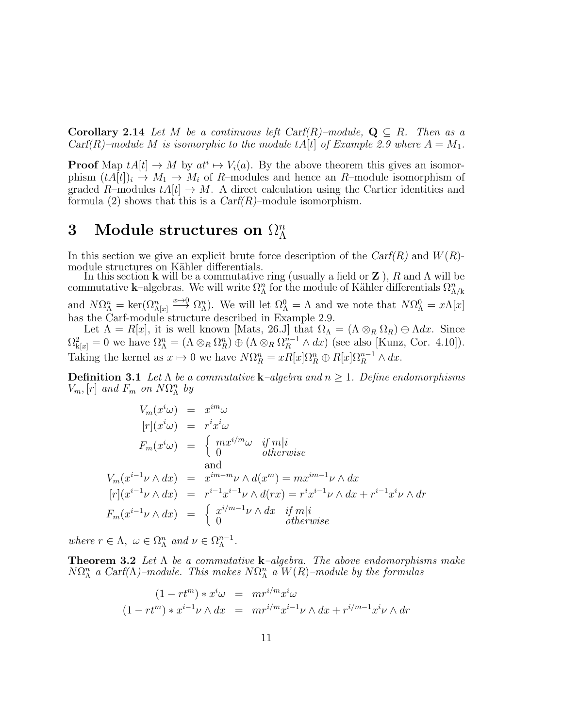**Corollary 2.14** Let M be a continuous left Carf(R)–module,  $Q \subseteq R$ . Then as a Carf(R)–module M is isomorphic to the module tA[t] of Example 2.9 where  $A = M_1$ .

**Proof** Map  $tA[t] \to M$  by  $at^i \to V_i(a)$ . By the above theorem this gives an isomorphism  $(tA[t])_i \to M_1 \to M_i$  of R–modules and hence an R–module isomorphism of graded R–modules  $tA[t] \rightarrow M$ . A direct calculation using the Cartier identities and formula (2) shows that this is a  $Carf(R)$ -module isomorphism.

#### 3 Module structures on  $\Omega^n_\Lambda$ Λ

In this section we give an explicit brute force description of the  $Carf(R)$  and  $W(R)$ module structures on Kähler differentials.

In this section **k** will be a commutative ring (usually a field or **Z**), R and  $\Lambda$  will be commutative k–algebras. We will write  $\Omega_{\Lambda}^n$  for the module of Kähler differentials  $\Omega_{\Lambda/k}^n$ and  $N\Omega_{\Lambda}^{n} = \ker(\Omega_{\Lambda}[x]) \longrightarrow \Omega_{\Lambda}^{n}$ . We will let  $\Omega_{\Lambda}^{0} = \Lambda$  and we note that  $N\Omega_{\Lambda}^{0} = x\Lambda[x]$ has the Carf-module structure described in Example 2.9.

Let  $\Lambda = R[x]$ , it is well known [Mats, 26.J] that  $\Omega_{\Lambda} = (\Lambda \otimes_R \Omega_R) \oplus \Lambda dx$ . Since  $\Omega_{k[x]}^2 = 0$  we have  $\Omega_{\Lambda}^n = (\Lambda \otimes_R \Omega_R^n) \oplus (\Lambda \otimes_R \Omega_R^{n-1} \wedge dx)$  (see also [Kunz, Cor. 4.10]). Taking the kernel as  $x \mapsto 0$  we have  $N\Omega_R^n = xR[x]\Omega_R^n \oplus R[x]\Omega_R^{n-1} \wedge dx$ .

**Definition 3.1** Let  $\Lambda$  be a commutative **k**-algebra and  $n \geq 1$ . Define endomorphisms  $V_m$ ,  $[r]$  and  $F_m$  on  $N\Omega_{\Lambda}^n$  by

$$
V_m(x^i\omega) = x^{im}\omega
$$
  
\n
$$
[r](x^i\omega) = r^ix^i\omega
$$
  
\n
$$
F_m(x^i\omega) = \begin{cases} mx^{i/m}\omega & \text{if } m|i\\ 0 & \text{otherwise} \end{cases}
$$
  
\n
$$
V_m(x^{i-1}\nu \wedge dx) = x^{im-m}\nu \wedge d(x^m) = mx^{im-1}\nu \wedge dx
$$
  
\n
$$
[r](x^{i-1}\nu \wedge dx) = r^{i-1}x^{i-1}\nu \wedge d(rx) = r^ix^{i-1}\nu \wedge dx + r^{i-1}x^i\nu \wedge dr
$$
  
\n
$$
F_m(x^{i-1}\nu \wedge dx) = \begin{cases} x^{i/m-1}\nu \wedge dx & \text{if } m|i\\ 0 & \text{otherwise} \end{cases}
$$

where  $r \in \Lambda$ ,  $\omega \in \Omega_{\Lambda}^{n}$  and  $\nu \in \Omega_{\Lambda}^{n-1}$ .

**Theorem 3.2** Let  $\Lambda$  be a commutative **k**-algebra. The above endomorphisms make  $N\Omega_{\Lambda}^n$  a Carf( $\Lambda$ )-module. This makes  $N\Omega_{\Lambda}^n$  a  $W(R)$ -module by the formulas

$$
(1 - rt^m) * x^i \omega = mr^{i/m} x^i \omega
$$
  

$$
(1 - rt^m) * x^{i-1} \nu \wedge dx = mr^{i/m} x^{i-1} \nu \wedge dx + r^{i/m-1} x^i \nu \wedge dr
$$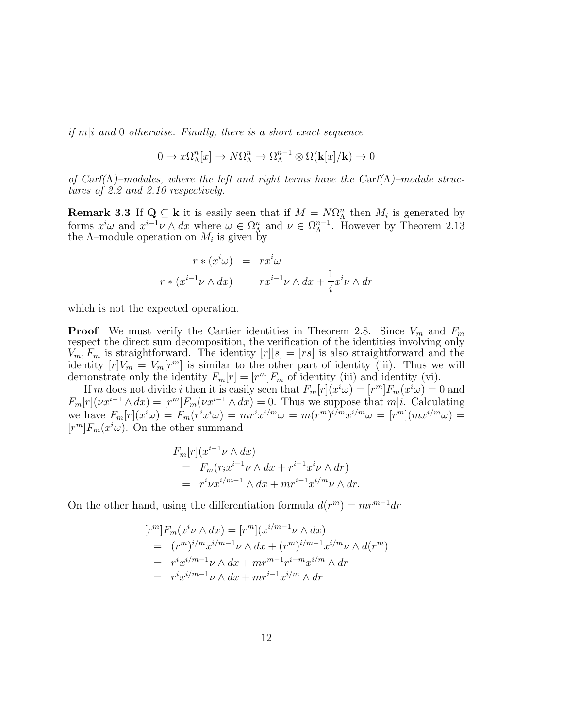if  $m|i$  and 0 otherwise. Finally, there is a short exact sequence

$$
0 \to x\Omega_{\Lambda}^{n}[x] \to N\Omega_{\Lambda}^{n} \to \Omega_{\Lambda}^{n-1} \otimes \Omega(\mathbf{k}[x]/\mathbf{k}) \to 0
$$

of Carf( $\Lambda$ )–modules, where the left and right terms have the Carf( $\Lambda$ )–module structures of 2.2 and 2.10 respectively.

**Remark 3.3** If  $Q \subseteq k$  it is easily seen that if  $M = N\Omega_{\Lambda}^{n}$  then  $M_{i}$  is generated by forms  $x^i\omega$  and  $x^{i-1}\nu \wedge dx$  where  $\omega \in \Omega_\Lambda^n$  and  $\nu \in \Omega_\Lambda^{n-1}$ . However by Theorem 2.13 the  $\Lambda$ -module operation on  $M_i$  is given by

$$
r * (xiω) = rxiω
$$
  

$$
r * (xi-1ν ∧ dx) = rxi-1ν ∧ dx + \frac{1}{i}xiν ∧ dr
$$

which is not the expected operation.

**Proof** We must verify the Cartier identities in Theorem 2.8. Since  $V_m$  and  $F_m$ respect the direct sum decomposition, the verification of the identities involving only  $V_m, F_m$  is straightforward. The identity  $[r][s] = [rs]$  is also straightforward and the identity  $[r]V_m = V_m[r^m]$  is similar to the other part of identity (iii). Thus we will demonstrate only the identity  $F_m[r] = [r^m]F_m$  of identity (iii) and identity (vi).

If m does not divide i then it is easily seen that  $F_m[r](x^i\omega) = [r^m]F_m(x^i\omega) = 0$  and  $F_m[r](\nu x^{i-1} \wedge dx) = [r^m] F_m(\nu x^{i-1} \wedge dx) = 0.$  Thus we suppose that  $m|i$ . Calculating we have  $F_m[r](x^i\omega) = F_m(r^ix^i\omega) = mr^ix^{i/m}\omega = m(r^m)^{i/m}x^{i/m}\omega = [r^m](mx^{i/m}\omega) =$  $[r^m]F_m(x^i\omega)$ . On the other summand

$$
F_m[r](x^{i-1}\nu \wedge dx)
$$
  
=  $F_m(r_ix^{i-1}\nu \wedge dx + r^{i-1}x^i\nu \wedge dr)$   
=  $r^i\nu x^{i/m-1} \wedge dx + mr^{i-1}x^{i/m}\nu \wedge dr.$ 

On the other hand, using the differentiation formula  $d(r^m) = mr^{m-1}dr$ 

$$
[rm]Fm(xiν ∧ dx) = [rm](xi/m-1ν ∧ dx)
$$
  
= 
$$
(rm)i/mxi/m-1ν ∧ dx + (rm)i/m-1xi/mν ∧ d(rm)
$$
  
= 
$$
rixi/m-1ν ∧ dx + mrm-1ri-mxi/m ∧ dr
$$
  
= 
$$
rixi/m-1ν ∧ dx + mri-1xi/m ∧ dr
$$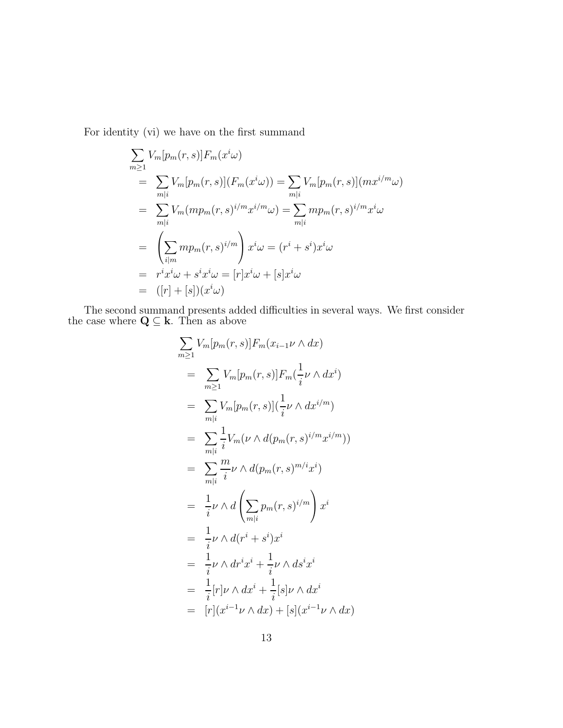For identity (vi) we have on the first summand

$$
\sum_{m\geq 1} V_m[p_m(r,s)] F_m(x^i\omega)
$$
  
= 
$$
\sum_{m|i} V_m[p_m(r,s)] (F_m(x^i\omega)) = \sum_{m|i} V_m[p_m(r,s)] (mx^{i/m}\omega)
$$
  
= 
$$
\sum_{m|i} V_m (mp_m(r,s)^{i/m} x^{i/m}\omega) = \sum_{m|i} mp_m(r,s)^{i/m} x^i\omega
$$
  
= 
$$
\left(\sum_{i|m} mp_m(r,s)^{i/m}\right) x^i\omega = (r^i + s^i)x^i\omega
$$
  
= 
$$
r^i x^i\omega + s^i x^i\omega = [r]x^i\omega + [s]x^i\omega
$$
  
= 
$$
([r] + [s])(x^i\omega)
$$

The second summand presents added difficulties in several ways. We first consider the case where  $\mathbf{Q} \subseteq \mathbf{k}$ . Then as above

$$
\sum_{m\geq 1} V_m[p_m(r,s)] F_m(x_{i-1}\nu \wedge dx)
$$
  
\n
$$
= \sum_{m\geq 1} V_m[p_m(r,s)] F_m(\frac{1}{i}\nu \wedge dx^i)
$$
  
\n
$$
= \sum_{m|i} V_m[p_m(r,s)](\frac{1}{i}\nu \wedge dx^{i/m})
$$
  
\n
$$
= \sum_{m|i} \frac{1}{i} V_m(\nu \wedge d(p_m(r,s)^{i/m}x^{i/m}))
$$
  
\n
$$
= \sum_{m|i} \frac{m}{i}\nu \wedge d(p_m(r,s)^{m/i}x^i)
$$
  
\n
$$
= \frac{1}{i}\nu \wedge d\left(\sum_{m|i} p_m(r,s)^{i/m}\right)x^i
$$
  
\n
$$
= \frac{1}{i}\nu \wedge dr^ix^i + \frac{1}{i}\nu \wedge ds^ix^i
$$
  
\n
$$
= \frac{1}{i}[r]\nu \wedge dx^i + \frac{1}{i}[s]\nu \wedge dx^i
$$
  
\n
$$
= [r](x^{i-1}\nu \wedge dx) + [s](x^{i-1}\nu \wedge dx)
$$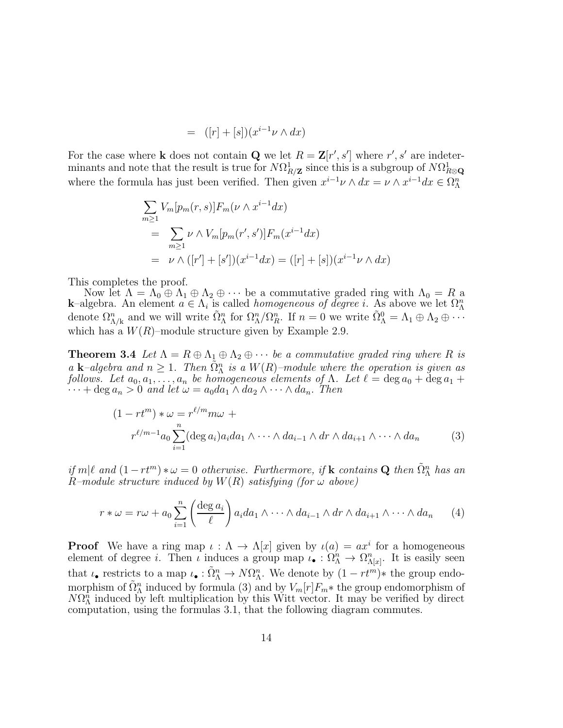$$
= ([r] + [s])(x^{i-1}\nu \wedge dx)
$$

For the case where **k** does not contain **Q** we let  $R = \mathbf{Z}[r', s']$  where  $r', s'$  are indeterminants and note that the result is true for  $N\Omega_{R/\mathbf{Z}}^1$  since this is a subgroup of  $N\Omega_{R\otimes\mathbf{Q}}^1$ where the formula has just been verified. Then given  $x^{i-1}\nu \wedge dx = \nu \wedge x^{i-1}dx \in \Omega_{\Lambda}^n$ 

$$
\sum_{m\geq 1} V_m[p_m(r,s)] F_m(\nu \wedge x^{i-1} dx)
$$
  
= 
$$
\sum_{m\geq 1} \nu \wedge V_m[p_m(r',s')] F_m(x^{i-1} dx)
$$
  
= 
$$
\nu \wedge ([r'] + [s']) (x^{i-1} dx) = ([r] + [s])(x^{i-1} \nu \wedge dx)
$$

This completes the proof.

Now let  $\Lambda = \Lambda_0 \oplus \Lambda_1 \oplus \Lambda_2 \oplus \cdots$  be a commutative graded ring with  $\Lambda_0 = R$  a **k**–algebra. An element  $a \in \Lambda_i$  is called *homogeneous of degree i*. As above we let  $\Omega_{\Lambda}^n$ denote  $\Omega_{\Lambda/k}^n$  and we will write  $\tilde{\Omega}_{\Lambda}^n$  for  $\Omega_{\Lambda}^n/\Omega_R^n$ . If  $n=0$  we write  $\tilde{\Omega}_{\Lambda}^0=\Lambda_1\oplus \Lambda_2\oplus \cdots$ which has a  $W(R)$ –module structure given by Example 2.9.

**Theorem 3.4** Let  $\Lambda = R \oplus \Lambda_1 \oplus \Lambda_2 \oplus \cdots$  be a commutative graded ring where R is a **k**–algebra and  $n \geq 1$ . Then  $\tilde{\Omega}_{\Lambda}^{n}$  is a  $W(R)$ –module where the operation is given as follows. Let  $a_0, a_1, \ldots, a_n$  be homogeneous elements of  $\Lambda$ . Let  $\ell = \deg a_0 + \deg a_1 + \ell$  $\cdots$  + deg  $a_n > 0$  and let  $\omega = a_0 da_1 \wedge da_2 \wedge \cdots \wedge da_n$ . Then

$$
(1 - rt^m) * \omega = r^{\ell/m} m \omega +
$$
  

$$
r^{\ell/m-1} a_0 \sum_{i=1}^n (\deg a_i) a_i da_1 \wedge \cdots \wedge da_{i-1} \wedge dr \wedge da_{i+1} \wedge \cdots \wedge da_n
$$
 (3)

if  $m|\ell$  and  $(1 - rt^m) * \omega = 0$  otherwise. Furthermore, if **k** contains **Q** then  $\tilde{\Omega}_{\Lambda}^n$  has an R–module structure induced by  $W(R)$  satisfying (for  $\omega$  above)

$$
r * \omega = r\omega + a_0 \sum_{i=1}^n \left( \frac{\deg a_i}{\ell} \right) a_i da_1 \wedge \cdots \wedge da_{i-1} \wedge dr \wedge da_{i+1} \wedge \cdots \wedge da_n \qquad (4)
$$

**Proof** We have a ring map  $\iota : \Lambda \to \Lambda[x]$  given by  $\iota(a) = ax^i$  for a homogeneous element of degree *i*. Then *i* induces a group map  $\iota_{\bullet}: \Omega_{\Lambda}^n \to \Omega_{\Lambda[x]}^n$ . It is easily seen that  $\iota_{\bullet}$  restricts to a map  $\iota_{\bullet}: \tilde{\Omega}_{\Lambda}^n \to N\Omega_{\Lambda}^n$ . We denote by  $(1 - rt^m) *$  the group endomorphism of  $\tilde{\Omega}^n_{\Lambda}$  induced by formula (3) and by  $V_m[r]F_m*$  the group endomorphism of  $N\Omega_{\Lambda}^{\hat{n}}$  induced by left multiplication by this Witt vector. It may be verified by direct computation, using the formulas 3.1, that the following diagram commutes.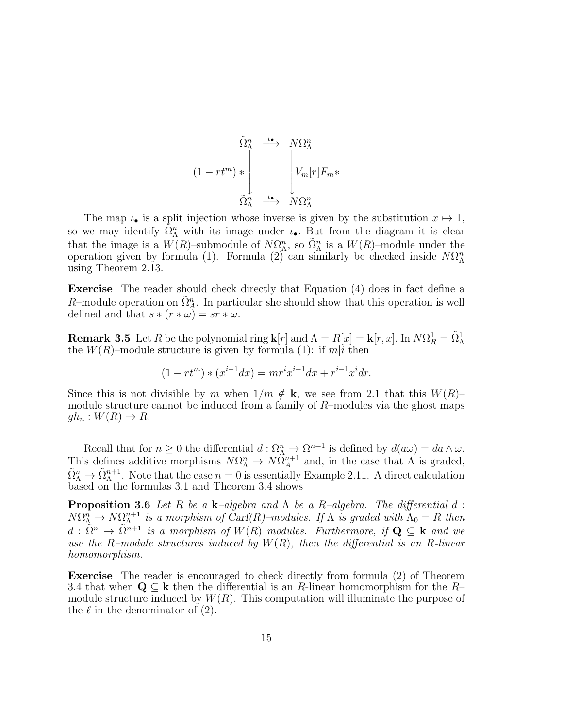$$
(1 - rt^m) * \begin{array}{ccccc}\n\tilde{\Omega}_{\Lambda}^n & \xrightarrow{\iota_{\bullet}} & N\Omega_{\Lambda}^n \\
& & & \downarrow \\
& & & \downarrow \\
& & & \tilde{\Omega}_{\Lambda}^n & \xrightarrow{\iota_{\bullet}} & N\Omega_{\Lambda}^n\n\end{array}
$$

The map  $\iota_{\bullet}$  is a split injection whose inverse is given by the substitution  $x \mapsto 1$ , so we may identify  $\tilde{\Omega}_{\Lambda}^n$  with its image under  $\iota_{\bullet}$ . But from the diagram it is clear that the image is a  $W(R)$ -submodule of  $N\Omega^n_{\Lambda}$ , so  $\tilde{\Omega}^n_{\Lambda}$  is a  $W(R)$ -module under the operation given by formula (1). Formula (2) can similarly be checked inside  $N\Omega^n_{\Lambda}$ using Theorem 2.13.

Exercise The reader should check directly that Equation (4) does in fact define a R-module operation on  $\tilde{\Omega}_A^n$ . In particular she should show that this operation is well defined and that  $s * (r * \omega) = sr * \omega$ .

**Remark 3.5** Let R be the polynomial ring  $\mathbf{k}[r]$  and  $\Lambda = R[x] = \mathbf{k}[r, x]$ . In  $N\Omega_R^1 = \tilde{\Omega}^1_{\Lambda}$ the  $W(R)$ -module structure is given by formula (1): if  $m|i$  then

$$
(1 - rt^m) * (x^{i-1}dx) = mr^ix^{i-1}dx + r^{i-1}x^idr.
$$

Since this is not divisible by m when  $1/m \notin k$ , we see from 2.1 that this  $W(R)$ – module structure cannot be induced from a family of R–modules via the ghost maps  $gh_n: W(R) \to R$ .

Recall that for  $n \geq 0$  the differential  $d : \Omega^n_{\Lambda} \to \Omega^{n+1}$  is defined by  $d(a\omega) = da \wedge \omega$ . This defines additive morphisms  $N\Omega^n_{\Lambda} \to N\Omega^{n+1}_{\Lambda}$  and, in the case that  $\Lambda$  is graded,  $\tilde{\Omega}_{\Lambda}^n \to \tilde{\Omega}_{\Lambda}^{n+1}$ . Note that the case  $n = 0$  is essentially Example 2.11. A direct calculation based on the formulas 3.1 and Theorem 3.4 shows

**Proposition 3.6** Let R be a k–algebra and  $\Lambda$  be a R–algebra. The differential d:  $N\Omega_{\Lambda}^n \to N\Omega_{\Lambda}^{n+1}$  is a morphism of Carf(R)–modules. If  $\Lambda$  is graded with  $\Lambda_0 = R$  then  $d : \tilde{\Omega}^n \to \tilde{\Omega}^{n+1}$  is a morphism of  $W(R)$  modules. Furthermore, if  $Q \subseteq k$  and we use the R-module structures induced by  $W(R)$ , then the differential is an R-linear homomorphism.

Exercise The reader is encouraged to check directly from formula (2) of Theorem 3.4 that when  $\mathbf{Q} \subseteq \mathbf{k}$  then the differential is an R-linear homomorphism for the R– module structure induced by  $W(R)$ . This computation will illuminate the purpose of the  $\ell$  in the denominator of (2).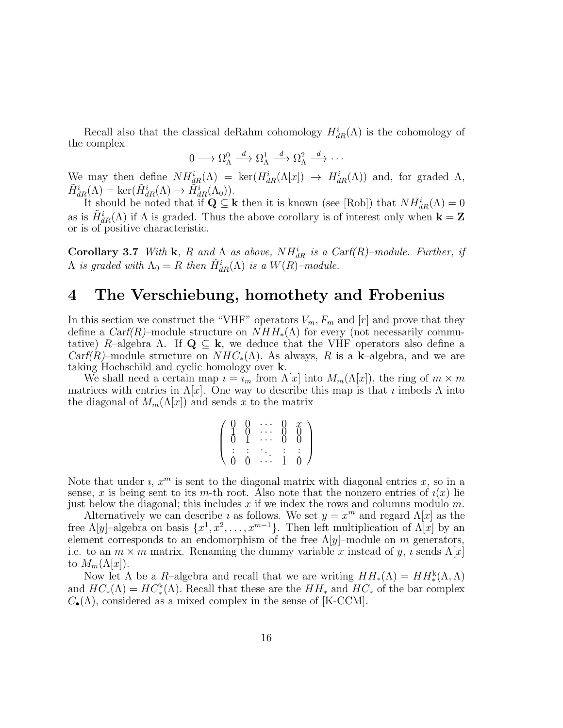Recall also that the classical deRahm cohomology  $H_{dR}^i(\Lambda)$  is the cohomology of the complex

$$
0 \longrightarrow \Omega_{\Lambda}^{0} \stackrel{d}{\longrightarrow} \Omega_{\Lambda}^{1} \stackrel{d}{\longrightarrow} \Omega_{\Lambda}^{2} \stackrel{d}{\longrightarrow} \cdots
$$

We may then define  $NH_{dR}^i(\Lambda) = \text{ker}(H_{dR}^i(\Lambda[x]) \to H_{dR}^i(\Lambda))$  and, for graded  $\Lambda$ ,  $\tilde{H}^i_{dR}(\Lambda) = \ker(\tilde{H}^i_{dR}(\Lambda) \to \tilde{H}^i_{dR}(\Lambda_0)).$ 

It should be noted that if  $\mathbf{Q} \subseteq \mathbf{k}$  then it is known (see [Rob]) that  $NH_{dR}^i(\Lambda) = 0$ as is  $\tilde{H}_{dR}^{i}(\Lambda)$  if  $\Lambda$  is graded. Thus the above corollary is of interest only when  $\mathbf{k} = \mathbf{Z}$ or is of positive characteristic.

Corollary 3.7 With k, R and  $\Lambda$  as above,  $NH_{dR}^i$  is a Carf(R)–module. Further, if  $\Lambda$  is graded with  $\Lambda_0 = R$  then  $\tilde{H}^i_{dR}(\Lambda)$  is a  $W(R)$ -module.

### 4 The Verschiebung, homothety and Frobenius

In this section we construct the "VHF" operators  $V_m$ ,  $F_m$  and  $[r]$  and prove that they define a Carf(R)–module structure on  $NHH_*(\Lambda)$  for every (not necessarily commutative) R–algebra Λ. If  $\mathbf{Q} \subseteq \mathbf{k}$ , we deduce that the VHF operators also define a  $Carf(R)$ –module structure on  $NHC_*(\Lambda)$ . As always, R is a k–algebra, and we are taking Hochschild and cyclic homology over k.

We shall need a certain map  $i = i_m$  from  $\Lambda[x]$  into  $M_m(\Lambda[x])$ , the ring of  $m \times m$ matrices with entries in  $\Lambda[x]$ . One way to describe this map is that *i* imbeds  $\Lambda$  into the diagonal of  $M_m(\Lambda[x])$  and sends x to the matrix

| 1.<br>∩ | 8<br>ĭ | 8<br>8 | $\S$ |
|---------|--------|--------|------|
| 0       | Ò      | İ.     |      |

Note that under  $i, x^m$  is sent to the diagonal matrix with diagonal entries  $x$ , so in a sense, x is being sent to its m-th root. Also note that the nonzero entries of  $\iota(x)$  lie just below the diagonal; this includes  $x$  if we index the rows and columns modulo  $m$ .

Alternatively we can describe *i* as follows. We set  $y = x^m$  and regard  $\Lambda[x]$  as the free  $\Lambda[y]$ -algebra on basis  $\{x^1, x^2, \ldots, x^{m-1}\}$ . Then left multiplication of  $\Lambda[x]$  by an element corresponds to an endomorphism of the free  $\Lambda[y]$ –module on m generators, i.e. to an  $m \times m$  matrix. Renaming the dummy variable x instead of y, i sends  $\Lambda[x]$ to  $M_m(\Lambda[x])$ .

Now let  $\Lambda$  be a  $R$ -algebra and recall that we are writing  $HH_*(\Lambda) = HH_*^k(\Lambda, \Lambda)$ and  $HC_*(\Lambda) = HC^k(\Lambda)$ . Recall that these are the  $HH_*$  and  $HC_*$  of the bar complex  $C_{\bullet}(\Lambda)$ , considered as a mixed complex in the sense of [K-CCM].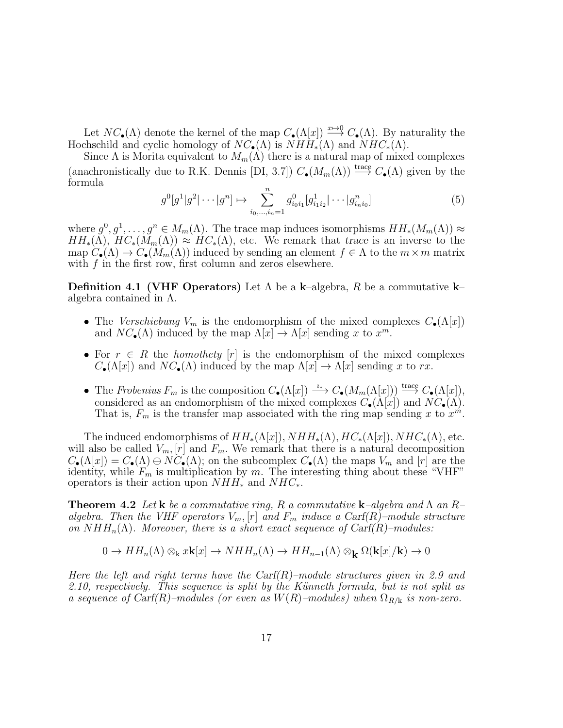Let  $NC_{\bullet}(\Lambda)$  denote the kernel of the map  $C_{\bullet}(\Lambda[x]) \stackrel{x \mapsto 0}{\longrightarrow} C_{\bullet}(\Lambda)$ . By naturality the Hochschild and cyclic homology of  $NC_{\bullet}(\Lambda)$  is  $NHH_{*}(\Lambda)$  and  $NHC_{*}(\Lambda)$ .

Since  $\Lambda$  is Morita equivalent to  $M_m(\Lambda)$  there is a natural map of mixed complexes (anachronistically due to R.K. Dennis [DI, 3.7])  $C_{\bullet}(M_m(\Lambda)) \stackrel{\text{trace}}{\longrightarrow} C_{\bullet}(\Lambda)$  given by the formula

$$
g^{0}[g^{1}]g^{2}|\cdots|g^{n}] \mapsto \sum_{i_{0},...,i_{n}=1}^{n} g^{0}_{i_{0}i_{1}}[g^{1}_{i_{1}i_{2}}|\cdots|g^{n}_{i_{n}i_{0}}]
$$
(5)

where  $g^0, g^1, \ldots, g^n \in M_m(\Lambda)$ . The trace map induces isomorphisms  $HH_*(M_m(\Lambda)) \approx$  $HH_*(\Lambda), HC_*(M_m(\Lambda)) \approx HC_*(\Lambda),$  etc. We remark that trace is an inverse to the map  $C_{\bullet}(\Lambda) \to C_{\bullet}(M_m(\Lambda))$  induced by sending an element  $f \in \Lambda$  to the  $m \times m$  matrix with  $f$  in the first row, first column and zeros elsewhere.

**Definition 4.1 (VHF Operators)** Let  $\Lambda$  be a k–algebra, R be a commutative k– algebra contained in  $\Lambda$ .

- The Verschiebung  $V_m$  is the endomorphism of the mixed complexes  $C_{\bullet}(\Lambda[x])$ and  $NC_{\bullet}(\Lambda)$  induced by the map  $\Lambda[x] \to \Lambda[x]$  sending x to  $x^m$ .
- For  $r \in R$  the *homothety* [r] is the endomorphism of the mixed complexes  $C_{\bullet}(\Lambda[x])$  and  $NC_{\bullet}(\Lambda)$  induced by the map  $\Lambda[x] \to \Lambda[x]$  sending x to rx.
- The Frobenius  $F_m$  is the composition  $C_{\bullet}(\Lambda[x]) \xrightarrow{i_*} C_{\bullet}(M_m(\Lambda[x])) \xrightarrow{\text{trace}} C_{\bullet}(\Lambda[x]),$ considered as an endomorphism of the mixed complexes  $C_{\bullet}(\Lambda[x])$  and  $NC_{\bullet}(\Lambda)$ . That is,  $F_m$  is the transfer map associated with the ring map sending x to  $x^m$ .

The induced endomorphisms of  $HH_*(\Lambda[x])$ ,  $NHH_*(\Lambda)$ ,  $HC_*(\Lambda[x])$ ,  $NHC_*(\Lambda)$ , etc. will also be called  $V_m$ ,  $[r]$  and  $F_m$ . We remark that there is a natural decomposition  $C_{\bullet}(\Lambda[x]) = C_{\bullet}(\Lambda) \oplus NC_{\bullet}(\Lambda)$ ; on the subcomplex  $C_{\bullet}(\Lambda)$  the maps  $V_m$  and  $[r]$  are the identity, while  $F_m$  is multiplication by m. The interesting thing about these "VHF" operators is their action upon  $NHH_*$  and  $NHC_*$ .

**Theorem 4.2** Let **k** be a commutative ring, R a commutative **k**-algebra and  $\Lambda$  an  $R$ algebra. Then the VHF operators  $V_m$ ,  $[r]$  and  $F_m$  induce a Carf(R)–module structure on  $NHH_n(\Lambda)$ . Moreover, there is a short exact sequence of Carf(R)–modules:

$$
0 \to HH_n(\Lambda) \otimes_{\mathbf{k}} x\mathbf{k}[x] \to NHH_n(\Lambda) \to HH_{n-1}(\Lambda) \otimes_{\mathbf{k}} \Omega(\mathbf{k}[x]/\mathbf{k}) \to 0
$$

Here the left and right terms have the  $\text{Carf}(R)$ -module structures given in 2.9 and 2.10, respectively. This sequence is split by the Künneth formula, but is not split as a sequence of  $C\text{arf}(R)$ –modules (or even as  $W(R)$ –modules) when  $\Omega_{R/k}$  is non-zero.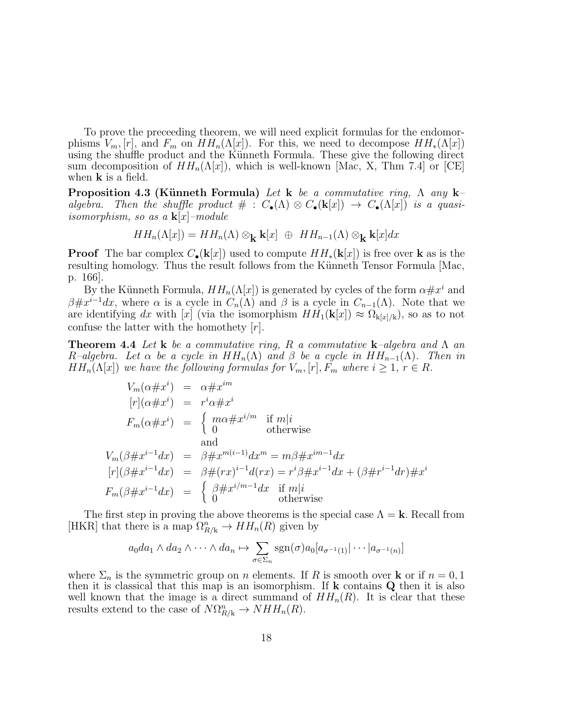To prove the preceeding theorem, we will need explicit formulas for the endomorphisms  $V_m$ , [r], and  $F_m$  on  $HH_n(\Lambda[x])$ . For this, we need to decompose  $HH_*(\Lambda[x])$ using the shuffle product and the Künneth Formula. These give the following direct sum decomposition of  $HH_n(\Lambda[x])$ , which is well-known [Mac, X, Thm 7.4] or [CE] when **k** is a field.

**Proposition 4.3 (Künneth Formula)** Let k be a commutative ring,  $\Lambda$  any k– algebra. Then the shuffle product  $\# : C_{\bullet}(\Lambda) \otimes C_{\bullet}(\mathbf{k}[x]) \to C_{\bullet}(\Lambda[x])$  is a quasiisomorphism, so as a  $\mathbf{k}[x]$ -module

$$
HH_n(\Lambda[x]) = HH_n(\Lambda) \otimes_{\mathbf{k}} \mathbf{k}[x] \oplus HH_{n-1}(\Lambda) \otimes_{\mathbf{k}} \mathbf{k}[x] dx
$$

**Proof** The bar complex  $C_{\bullet}({\bf k}[x])$  used to compute  $HH_{*}({\bf k}[x])$  is free over k as is the resulting homology. Thus the result follows from the Künneth Tensor Formula [Mac, p. 166].

By the Künneth Formula,  $HH_n(\Lambda[x])$  is generated by cycles of the form  $\alpha \# x^i$  and  $\beta \# x^{i-1}dx$ , where  $\alpha$  is a cycle in  $C_n(\Lambda)$  and  $\beta$  is a cycle in  $C_{n-1}(\Lambda)$ . Note that we are identifying dx with [x] (via the isomorphism  $HH_1(\mathbf{k}[x]) \approx \Omega_{\mathbf{k}[x]/\mathbf{k}}$ ), so as to not confuse the latter with the homothety  $[r]$ .

**Theorem 4.4** Let **k** be a commutative ring, R a commutative **k**-algebra and  $\Lambda$  an R–algebra. Let  $\alpha$  be a cycle in  $HH_n(\Lambda)$  and  $\beta$  be a cycle in  $HH_{n-1}(\Lambda)$ . Then in  $HH_n(\Lambda[x])$  we have the following formulas for  $V_m$ ,  $[r]$ ,  $F_m$  where  $i \geq 1$ ,  $r \in R$ .

$$
V_m(\alpha \# x^i) = \alpha \# x^{im}
$$
  
\n
$$
[r](\alpha \# x^i) = r^i \alpha \# x^i
$$
  
\n
$$
F_m(\alpha \# x^i) = \begin{cases} m\alpha \# x^{i/m} & \text{if } m|i \\ 0 & \text{otherwise} \end{cases}
$$
  
\n
$$
V_m(\beta \# x^{i-1} dx) = \beta \# x^{m(i-1)} dx^m = m\beta \# x^{im-1} dx
$$
  
\n
$$
[r](\beta \# x^{i-1} dx) = \beta \# (rx)^{i-1} d(rx) = r^i \beta \# x^{i-1} dx + (\beta \# r^{i-1} dr) \# x^i
$$
  
\n
$$
F_m(\beta \# x^{i-1} dx) = \begin{cases} \beta \# x^{i/m-1} dx & \text{if } m|i \\ 0 & \text{otherwise} \end{cases}
$$

The first step in proving the above theorems is the special case  $\Lambda = \mathbf{k}$ . Recall from [HKR] that there is a map  $\Omega_{R/k}^n \to HH_n(R)$  given by

$$
a_0 da_1 \wedge da_2 \wedge \cdots \wedge da_n \mapsto \sum_{\sigma \in \Sigma_n} \text{sgn}(\sigma) a_0 [a_{\sigma^{-1}(1)} | \cdots | a_{\sigma^{-1}(n)}]
$$

where  $\Sigma_n$  is the symmetric group on *n* elements. If R is smooth over **k** or if  $n = 0, 1$ then it is classical that this map is an isomorphism. If  $k$  contains  $Q$  then it is also well known that the image is a direct summand of  $HH_n(R)$ . It is clear that these results extend to the case of  $N\Omega_{R/\mathbf{k}}^n \to NHH_n(R)$ .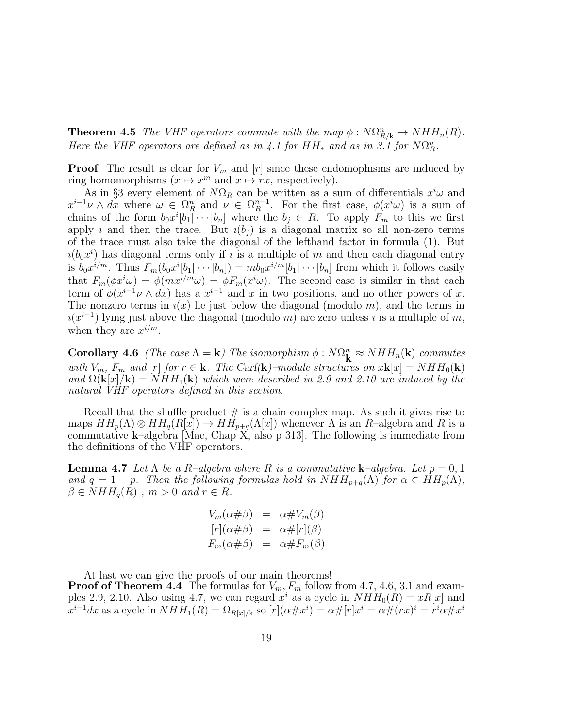**Theorem 4.5** The VHF operators commute with the map  $\phi : N\Omega_{R/k}^n \to NHH_n(R)$ . Here the VHF operators are defined as in 4.1 for  $HH_*$  and as in 3.1 for  $N\Omega_R^n$ .

**Proof** The result is clear for  $V_m$  and  $[r]$  since these endomophisms are induced by ring homomorphisms  $(x \mapsto x^m \text{ and } x \mapsto rx$ , respectively).

As in §3 every element of  $N\Omega_R$  can be written as a sum of differentials  $x^i\omega$  and  $x^{i-1}\nu \wedge dx$  where  $\omega \in \Omega_R^n$  and  $\nu \in \Omega_R^{n-1}$ . For the first case,  $\phi(x^i\omega)$  is a sum of chains of the form  $b_0x^i[b_1]\cdots[b_n]$  where the  $b_j \in R$ . To apply  $F_m$  to this we first apply *i* and then the trace. But  $i(b_i)$  is a diagonal matrix so all non-zero terms of the trace must also take the diagonal of the lefthand factor in formula (1). But  $i(b_0x^i)$  has diagonal terms only if i is a multiple of m and then each diagonal entry is  $b_0 x^{i/m}$ . Thus  $F_m(b_0 x^i[b_1|\cdots | b_n]) = mb_0 x^{i/m}[b_1|\cdots | b_n]$  from which it follows easily that  $F_m(\phi x^i \omega) = \phi(mx^{i/m} \omega) = \phi F_m(x^i \omega)$ . The second case is similar in that each term of  $\phi(x^{i-1}\nu \wedge dx)$  has a  $x^{i-1}$  and x in two positions, and no other powers of x. The nonzero terms in  $i(x)$  lie just below the diagonal (modulo m), and the terms in  $u(x^{i-1})$  lying just above the diagonal (modulo m) are zero unless i is a multiple of m, when they are  $x^{i/m}$ .

Corollary 4.6 (The case  $\Lambda = \mathbf{k}$ ) The isomorphism  $\phi : N\Omega^n_{\mathbf{k}} \approx NHH_n(\mathbf{k})$  commutes with  $V_m$ ,  $F_m$  and  $[r]$  for  $r \in \mathbf{k}$ . The Carf( $\mathbf{k}$ )–module structures on  $x\mathbf{k}[x] = NHH_0(\mathbf{k})$ and  $\Omega(\mathbf{k}[x]/\mathbf{k}) = NHH_1(\mathbf{k})$  which were described in 2.9 and 2.10 are induced by the natural VHF operators defined in this section.

Recall that the shuffle product  $\#$  is a chain complex map. As such it gives rise to maps  $HH_p(\Lambda) \otimes HH_q(R[x]) \to HH_{p+q}(\Lambda[x])$  whenever  $\Lambda$  is an R-algebra and R is a commutative k–algebra [Mac, Chap X, also p 313]. The following is immediate from the definitions of the VHF operators.

**Lemma 4.7** Let  $\Lambda$  be a R-algebra where R is a commutative **k**-algebra. Let  $p = 0, 1$ and  $q = 1 - p$ . Then the following formulas hold in  $NHH_{p+q}(\Lambda)$  for  $\alpha \in HH_p(\Lambda)$ ,  $\beta \in NHH_a(R)$ ,  $m > 0$  and  $r \in R$ .

$$
V_m(\alpha \# \beta) = \alpha \# V_m(\beta)
$$
  
\n
$$
[r](\alpha \# \beta) = \alpha \# [r](\beta)
$$
  
\n
$$
F_m(\alpha \# \beta) = \alpha \# F_m(\beta)
$$

At last we can give the proofs of our main theorems! **Proof of Theorem 4.4** The formulas for  $V_m$ ,  $F_m$  follow from 4.7, 4.6, 3.1 and examples 2.9, 2.10. Also using 4.7, we can regard  $x^i$  as a cycle in  $NHH_0(R) = xR[x]$  and  $x^{i-1}dx$  as a cycle in  $NHH_1(R) = \Omega_{R[x]/k}$  so  $[r](\alpha \# x^i) = \alpha \#[r]x^i = \alpha \#(rx)^i = r^i\alpha \# x^i$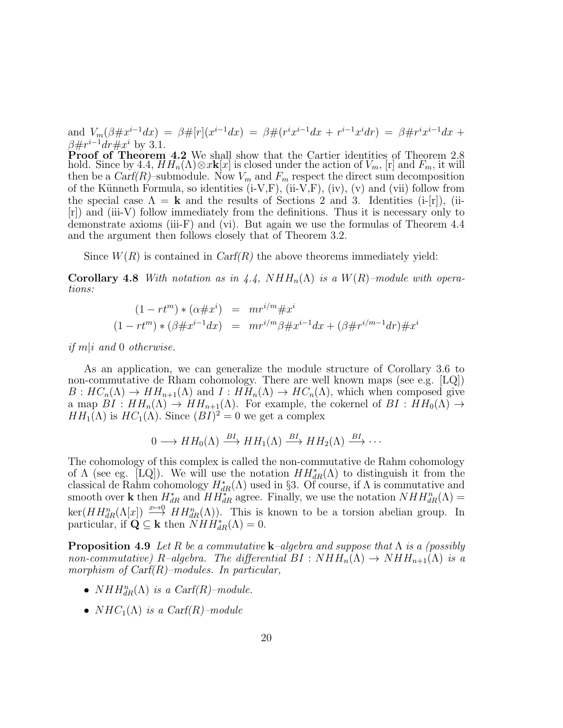and  $V_m(\beta \# x^{i-1}dx) = \beta \# [r](x^{i-1}dx) = \beta \# (r^ix^{i-1}dx + r^{i-1}x^idr) = \beta \# r^ix^{i-1}dx +$  $\beta \# r^{i-1} dr \# x^i$  by 3.1.

**Proof of Theorem 4.2** We shall show that the Cartier identities of Theorem 2.8 hold. Since by 4.4,  $HH_n(\Lambda) \otimes x\mathbf{k}[x]$  is closed under the action of  $V_m$ , [r] and  $F_m$ , it will then be a  $Carf(R)$ –submodule. Now  $V_m$  and  $F_m$  respect the direct sum decomposition of the Künneth Formula, so identities  $(i-V,F)$ ,  $(ii-V,F)$ ,  $(iv)$ ,  $(v)$  and  $(vii)$  follow from the special case  $\Lambda = \mathbf{k}$  and the results of Sections 2 and 3. Identities (i-[r]), (ii-[r]) and (iii-V) follow immediately from the definitions. Thus it is necessary only to demonstrate axioms (iii-F) and (vi). But again we use the formulas of Theorem 4.4 and the argument then follows closely that of Theorem 3.2.

Since  $W(R)$  is contained in  $Carf(R)$  the above theorems immediately yield:

**Corollary 4.8** With notation as in 4.4,  $NHH_n(\Lambda)$  is a  $W(R)$ -module with operations:

$$
(1 - rt^m) * (\alpha \# x^i) = mr^{i/m} \# x^i
$$
  

$$
(1 - rt^m) * (\beta \# x^{i-1} dx) = mr^{i/m} \beta \# x^{i-1} dx + (\beta \# r^{i/m-1} dr) \# x^i
$$

if  $m|i$  and 0 otherwise.

As an application, we can generalize the module structure of Corollary 3.6 to non-commutative de Rham cohomology. There are well known maps (see e.g. [LQ])  $B: HC_n(\Lambda) \to HH_{n+1}(\Lambda)$  and  $I: HH_n(\Lambda) \to HC_n(\Lambda)$ , which when composed give a map  $BI : HH_n(\Lambda) \to HH_{n+1}(\Lambda)$ . For example, the cokernel of  $BI : HH_0(\Lambda) \to HH_n(\Lambda)$  $HH_1(\Lambda)$  is  $HC_1(\Lambda)$ . Since  $(BI)^2 = 0$  we get a complex

$$
0 \longrightarrow HH_0(\Lambda) \stackrel{BI}{\longrightarrow} HH_1(\Lambda) \stackrel{BI}{\longrightarrow} HH_2(\Lambda) \stackrel{BI}{\longrightarrow} \cdots
$$

The cohomology of this complex is called the non-commutative de Rahm cohomology of  $\Lambda$  (see eg. [LQ]). We will use the notation  $HH^*_{dR}(\Lambda)$  to distinguish it from the classical de Rahm cohomology  $H^*_{dR}(\Lambda)$  used in §3. Of course, if  $\Lambda$  is commutative and smooth over **k** then  $H_{dR}^*$  and  $HH_{dR}^*$  agree. Finally, we use the notation  $NHH_{dR}^n(\Lambda)$  =  $\ker(HH_{dR}^n(\Lambda[x]) \xrightarrow{x\mapsto 0} HH_{dR}^n(\Lambda)).$  This is known to be a torsion abelian group. In particular, if  $\mathbf{Q} \subseteq \mathbf{k}$  then  $\overline{N} H H_{dR}^*(\Lambda) = 0$ .

**Proposition 4.9** Let R be a commutative **k**-algebra and suppose that  $\Lambda$  is a (possibly non-commutative) R–algebra. The differential  $BI : NHH_n(\Lambda) \to NHH_{n+1}(\Lambda)$  is a morphism of Carf(R)–modules. In particular,

- $NHH_{dR}^{n}(\Lambda)$  is a Carf(R)-module.
- $NHC_1(\Lambda)$  is a Carf(R)–module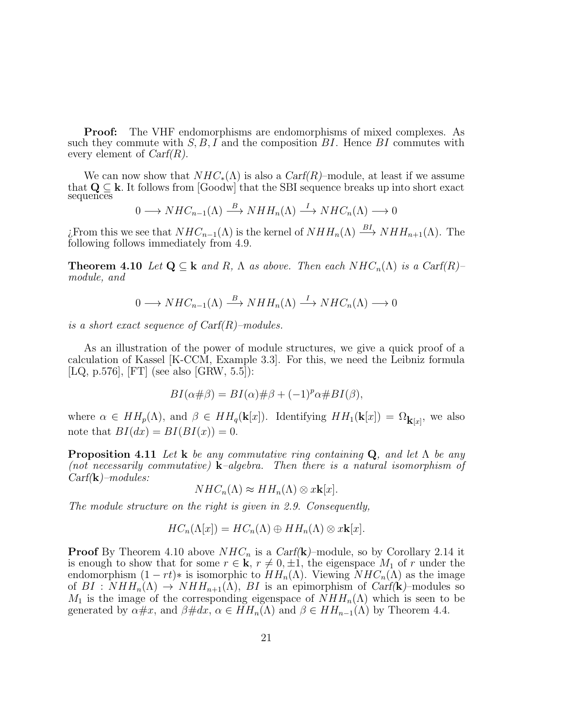**Proof:** The VHF endomorphisms are endomorphisms of mixed complexes. As such they commute with  $S, B, I$  and the composition  $BI$ . Hence  $BI$  commutes with every element of  $Carf(R)$ .

We can now show that  $NHC_*(\Lambda)$  is also a  $Carf(R)$ –module, at least if we assume that  $Q \subseteq k$ . It follows from [Goodw] that the SBI sequence breaks up into short exact sequences

$$
0 \longrightarrow NHC_{n-1}(\Lambda) \stackrel{B}{\longrightarrow} NHH_n(\Lambda) \stackrel{I}{\longrightarrow} NHC_n(\Lambda) \longrightarrow 0
$$

*i*. From this we see that  $NHC_{n-1}(\Lambda)$  is the kernel of  $NHH_n(\Lambda) \stackrel{BI}{\longrightarrow} NHH_{n+1}(\Lambda)$ . The following follows immediately from 4.9.

**Theorem 4.10** Let  $\mathbf{Q} \subseteq \mathbf{k}$  and R,  $\Lambda$  as above. Then each  $NHC_n(\Lambda)$  is a Carf(R)– module, and

$$
0 \longrightarrow NHC_{n-1}(\Lambda) \stackrel{B}{\longrightarrow} NHH_n(\Lambda) \stackrel{I}{\longrightarrow} NHC_n(\Lambda) \longrightarrow 0
$$

is a short exact sequence of  $\text{Carf}(R)$ -modules.

As an illustration of the power of module structures, we give a quick proof of a calculation of Kassel [K-CCM, Example 3.3]. For this, we need the Leibniz formula [LQ, p.576], [FT] (see also [GRW, 5.5]):

$$
BI(\alpha\#\beta) = BI(\alpha)\#\beta + (-1)^p\alpha\# BI(\beta),
$$

where  $\alpha \in HH_p(\Lambda)$ , and  $\beta \in HH_q(\mathbf{k}[x])$ . Identifying  $HH_1(\mathbf{k}[x]) = \Omega_{\mathbf{k}[x]}$ , we also note that  $BI(dx) = BI(BI(x)) = 0.$ 

**Proposition 4.11** Let **k** be any commutative ring containing  $Q$ , and let  $\Lambda$  be any (not necessarily commutative) **k**–algebra. Then there is a natural isomorphism of  $Carf(\mathbf{k})$ –modules:

$$
NHC_n(\Lambda) \approx HH_n(\Lambda) \otimes x\mathbf{k}[x].
$$

The module structure on the right is given in 2.9. Consequently,

$$
HC_n(\Lambda[x]) = HC_n(\Lambda) \oplus HH_n(\Lambda) \otimes x\mathbf{k}[x].
$$

**Proof** By Theorem 4.10 above  $NHC_n$  is a Carf(k)–module, so by Corollary 2.14 it is enough to show that for some  $r \in \mathbf{k}$ ,  $r \neq 0, \pm 1$ , the eigenspace  $M_1$  of r under the endomorphism  $(1 - rt)*$  is isomorphic to  $HH_n(\Lambda)$ . Viewing  $NHC_n(\Lambda)$  as the image of  $BI : NHH_n(\Lambda) \to NHH_{n+1}(\Lambda)$ ,  $BI$  is an epimorphism of Carf(k)–modules so  $M_1$  is the image of the corresponding eigenspace of  $NHH_n(\Lambda)$  which is seen to be generated by  $\alpha \# x$ , and  $\beta \# dx$ ,  $\alpha \in HH_n(\Lambda)$  and  $\beta \in HH_{n-1}(\Lambda)$  by Theorem 4.4.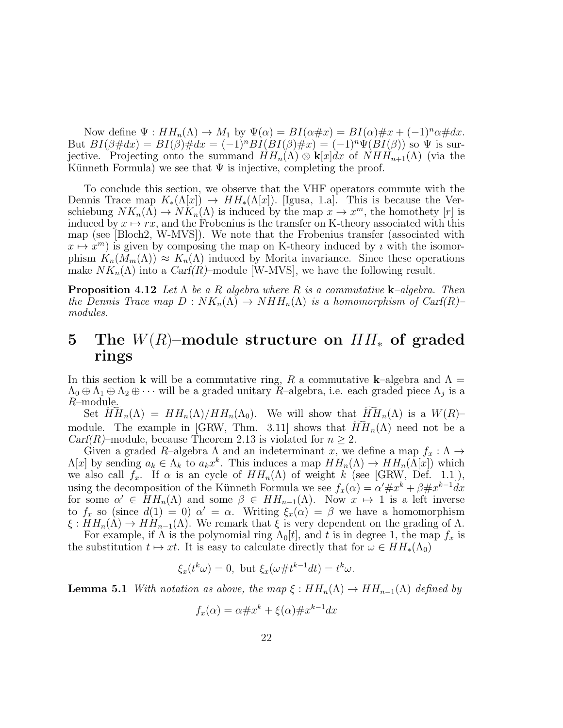Now define  $\Psi : HH_n(\Lambda) \to M_1$  by  $\Psi(\alpha) = BI(\alpha \# x) = BI(\alpha) \# x + (-1)^n \alpha \# dx$ . But  $BI(\beta \# dx) = BI(\beta) \# dx = (-1)^n BI(BI(\beta) \# x) = (-1)^n \Psi(BI(\beta))$  so  $\Psi$  is surjective. Projecting onto the summand  $HH_n(\Lambda) \otimes \mathbf{k}[x]dx$  of  $NH_{n+1}(\Lambda)$  (via the Künneth Formula) we see that  $\Psi$  is injective, completing the proof.

To conclude this section, we observe that the VHF operators commute with the Dennis Trace map  $K_*(\Lambda[x]) \to HH_*(\Lambda[x])$ . [Igusa, 1.a]. This is because the Verschiebung  $NK_n(\Lambda) \to NK_n(\Lambda)$  is induced by the map  $x \to x^m$ , the homothety [r] is induced by  $x \mapsto rx$ , and the Frobenius is the transfer on K-theory associated with this map (see [Bloch2, W-MVS]). We note that the Frobenius transfer (associated with  $x \mapsto x^m$ ) is given by composing the map on K-theory induced by *i* with the isomorphism  $K_n(M_m(\Lambda)) \approx K_n(\Lambda)$  induced by Morita invariance. Since these operations make  $NK_n(\Lambda)$  into a  $Carf(R)$ –module [W-MVS], we have the following result.

**Proposition 4.12** Let  $\Lambda$  be a R algebra where R is a commutative **k**-algebra. Then the Dennis Trace map  $D: NK_n(\Lambda) \to NHH_n(\Lambda)$  is a homomorphism of Carf(R)– modules.

## 5 The  $W(R)$ –module structure on  $HH_*$  of graded rings

In this section **k** will be a commutative ring, R a commutative **k**-algebra and  $\Lambda$  =  $\Lambda_0 \oplus \Lambda_1 \oplus \Lambda_2 \oplus \cdots$  will be a graded unitary R-algebra, i.e. each graded piece  $\Lambda_j$  is a R–module.

Set  $HH_n(\Lambda) = HH_n(\Lambda)/HH_n(\Lambda_0)$ . We will show that  $HH_n(\Lambda)$  is a  $W(R)$ module. The example in [GRW, Thm. 3.11] shows that  $HH_n(\Lambda)$  need not be a *Carf(R)*–module, because Theorem 2.13 is violated for  $n \geq 2$ .

Given a graded R–algebra  $\Lambda$  and an indeterminant x, we define a map  $f_x : \Lambda \to$  $\Lambda[x]$  by sending  $a_k \in \Lambda_k$  to  $a_k x^k$ . This induces a map  $HH_n(\Lambda) \to HH_n(\Lambda[x])$  which we also call  $f_x$ . If  $\alpha$  is an cycle of  $HH_n(\Lambda)$  of weight k (see [GRW, Def. 1.1]), using the decomposition of the Künneth Formula we see  $f_x(\alpha) = \alpha' \# x^k + \beta \# x^{k-1} dx$ for some  $\alpha' \in HH_n(\Lambda)$  and some  $\beta \in HH_{n-1}(\Lambda)$ . Now  $x \mapsto 1$  is a left inverse to  $f_x$  so (since  $d(1) = 0$ )  $\alpha' = \alpha$ . Writing  $\xi_x(\alpha) = \beta$  we have a homomorphism  $\xi : HH_n(\Lambda) \to HH_{n-1}(\Lambda)$ . We remark that  $\xi$  is very dependent on the grading of  $\Lambda$ .

For example, if  $\Lambda$  is the polynomial ring  $\Lambda_0[t]$ , and t is in degree 1, the map  $f_x$  is the substitution  $t \mapsto xt$ . It is easy to calculate directly that for  $\omega \in HH_*(\Lambda_0)$ 

$$
\xi_x(t^k \omega) = 0, \text{ but } \xi_x(\omega \# t^{k-1} dt) = t^k \omega.
$$

**Lemma 5.1** With notation as above, the map  $\xi : HH_n(\Lambda) \to HH_{n-1}(\Lambda)$  defined by

$$
f_x(\alpha) = \alpha \# x^k + \xi(\alpha) \# x^{k-1} dx
$$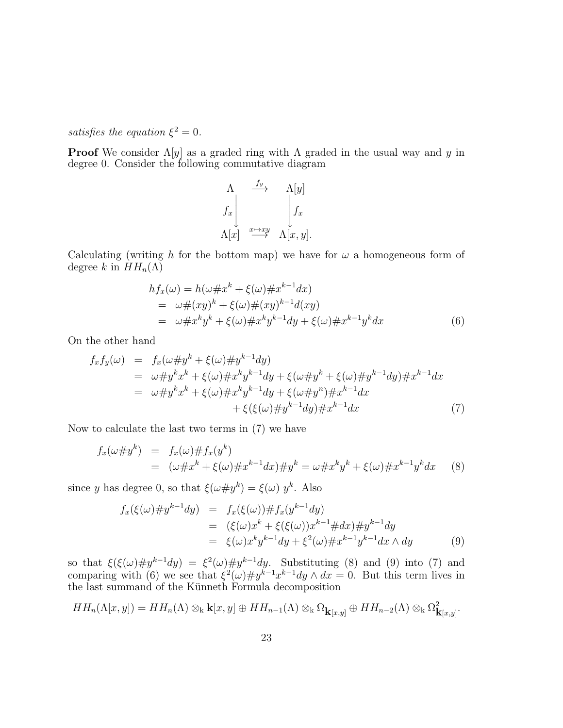satisfies the equation  $\xi^2 = 0$ .

**Proof** We consider  $\Lambda[y]$  as a graded ring with  $\Lambda$  graded in the usual way and y in degree 0. Consider the following commutative diagram

$$
\begin{array}{ccc}\n\Lambda & \xrightarrow{f_y} & \Lambda[y] \\
\hline\nf_x & & \downarrow f_x \\
\Lambda[x] & \xrightarrow{x \mapsto xy} & \Lambda[x, y].\n\end{array}
$$

Calculating (writing h for the bottom map) we have for  $\omega$  a homogeneous form of degree k in  $HH_n(\Lambda)$ 

$$
hf_x(\omega) = h(\omega \# x^k + \xi(\omega) \# x^{k-1} dx)
$$
  
=  $\omega \# (xy)^k + \xi(\omega) \# (xy)^{k-1} d(xy)$   
=  $\omega \# x^k y^k + \xi(\omega) \# x^k y^{k-1} dy + \xi(\omega) \# x^{k-1} y^k dx$  (6)

On the other hand

$$
f_x f_y(\omega) = f_x(\omega \# y^k + \xi(\omega) \# y^{k-1} dy) \n= \omega \# y^k x^k + \xi(\omega) \# x^k y^{k-1} dy + \xi(\omega \# y^k + \xi(\omega) \# y^{k-1} dy) \# x^{k-1} dx \n= \omega \# y^k x^k + \xi(\omega) \# x^k y^{k-1} dy + \xi(\omega \# y^n) \# x^{k-1} dx \n+ \xi(\xi(\omega) \# y^{k-1} dy) \# x^{k-1} dx
$$
\n(7)

Now to calculate the last two terms in (7) we have

$$
f_x(\omega \# y^k) = f_x(\omega) \# f_x(y^k)
$$
  
=  $(\omega \# x^k + \xi(\omega) \# x^{k-1} dx) \# y^k = \omega \# x^k y^k + \xi(\omega) \# x^{k-1} y^k dx$  (8)

since y has degree 0, so that  $\xi(\omega \# y^k) = \xi(\omega) y^k$ . Also

$$
f_x(\xi(\omega) \# y^{k-1} dy) = f_x(\xi(\omega)) \# f_x(y^{k-1} dy)
$$
  
=  $(\xi(\omega) x^k + \xi(\xi(\omega)) x^{k-1} \# dx) \# y^{k-1} dy$   
=  $\xi(\omega) x^k y^{k-1} dy + \xi^2(\omega) \# x^{k-1} y^{k-1} dx \wedge dy$  (9)

so that  $\xi(\xi(\omega) \# y^{k-1}dy) = \xi^2(\omega) \# y^{k-1}dy$ . Substituting (8) and (9) into (7) and comparing with (6) we see that  $\xi^2(\omega) \# y^{k-1} x^{k-1} dy \wedge dx = 0$ . But this term lives in the last summand of the Künneth Formula decomposition

$$
HH_n(\Lambda[x,y]) = HH_n(\Lambda) \otimes_{\mathbf{k}} \mathbf{k}[x,y] \oplus HH_{n-1}(\Lambda) \otimes_{\mathbf{k}} \Omega_{\mathbf{k}[x,y]} \oplus HH_{n-2}(\Lambda) \otimes_{\mathbf{k}} \Omega_{\mathbf{k}[x,y]}^2.
$$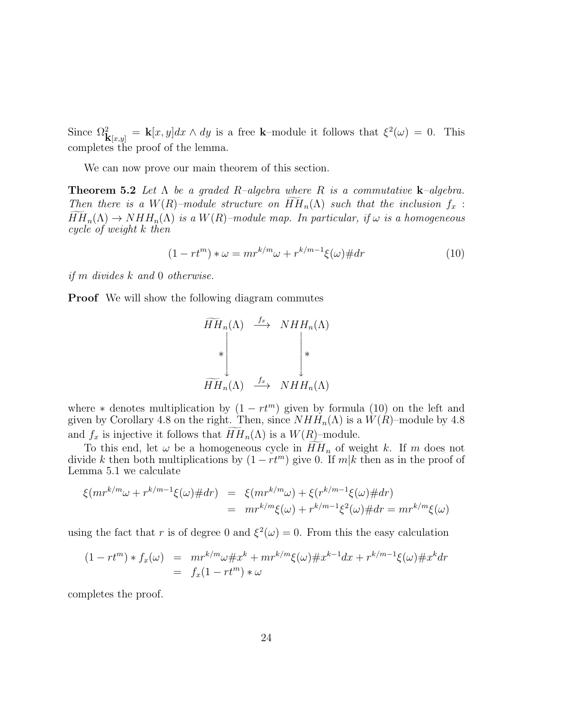Since  $\Omega_{\mathbf{k}[x,y]}^2 = \mathbf{k}[x,y]dx \wedge dy$  is a free k-module it follows that  $\xi^2(\omega) = 0$ . This completes the proof of the lemma.

We can now prove our main theorem of this section.

**Theorem 5.2** Let  $\Lambda$  be a graded R-algebra where R is a commutative **k**-algebra. Then there is a  $W(R)$ -module structure on  $\widetilde{HH}_n(\Lambda)$  such that the inclusion  $f_x$ :  $\widetilde{HH}_n(\Lambda) \to NHH_n(\Lambda)$  is a  $W(R)$ -module map. In particular, if  $\omega$  is a homogeneous cycle of weight k then

$$
(1 - rt^m) * \omega = mr^{k/m} \omega + r^{k/m-1} \xi(\omega) \# dr \tag{10}
$$

if m divides k and 0 otherwise.

**Proof** We will show the following diagram commutes

$$
\widetilde{HH}_n(\Lambda) \xrightarrow{f_x} NHH_n(\Lambda)
$$
\n
$$
\ast \downarrow \qquad \qquad \downarrow \star
$$
\n
$$
\widetilde{HH}_n(\Lambda) \xrightarrow{f_x} NHH_n(\Lambda)
$$

where  $*$  denotes multiplication by  $(1 - rt^m)$  given by formula  $(10)$  on the left and given by Corollary 4.8 on the right. Then, since  $NHH_n(\Lambda)$  is a  $W(R)$ –module by 4.8 and  $f_x$  is injective it follows that  $HH_n(\Lambda)$  is a  $W(R)$ –module.

To this end, let  $\omega$  be a homogeneous cycle in  $\widetilde{HH}_n$  of weight k. If m does not divide k then both multiplications by  $(1 - rt^m)$  give 0. If  $m|k$  then as in the proof of Lemma 5.1 we calculate

$$
\xi(mr^{k/m}\omega + r^{k/m-1}\xi(\omega) \# dr) = \xi(mr^{k/m}\omega) + \xi(r^{k/m-1}\xi(\omega) \# dr) \n= mr^{k/m}\xi(\omega) + r^{k/m-1}\xi^2(\omega) \# dr = mr^{k/m}\xi(\omega)
$$

using the fact that r is of degree 0 and  $\xi^2(\omega) = 0$ . From this the easy calculation

$$
(1 - rt^m) * f_x(\omega) = mr^{k/m} \omega \# x^k + mr^{k/m} \xi(\omega) \# x^{k-1} dx + r^{k/m-1} \xi(\omega) \# x^k dr
$$
  
=  $f_x(1 - rt^m) * \omega$ 

completes the proof.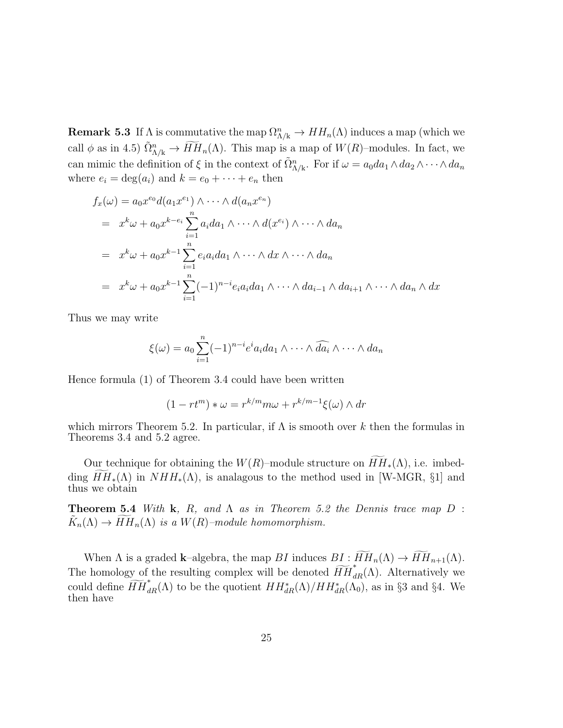**Remark 5.3** If  $\Lambda$  is commutative the map  $\Omega_{\Lambda/k}^n \to HH_n(\Lambda)$  induces a map (which we call  $\phi$  as in 4.5)  $\tilde{\Omega}_{\Lambda/k}^n \to \widetilde{HH}_n(\Lambda)$ . This map is a map of  $W(R)$ -modules. In fact, we can mimic the definition of  $\xi$  in the context of  $\tilde{\Omega}_{\Lambda/k}^n$ . For if  $\omega = a_0 da_1 \wedge da_2 \wedge \cdots \wedge da_n$ where  $e_i = \deg(a_i)$  and  $k = e_0 + \cdots + e_n$  then

$$
f_x(\omega) = a_0 x^{e_0} d(a_1 x^{e_1}) \wedge \cdots \wedge d(a_n x^{e_n})
$$
  
=  $x^k \omega + a_0 x^{k-e_i} \sum_{i=1}^n a_i da_1 \wedge \cdots \wedge d(x^{e_i}) \wedge \cdots \wedge da_n$   
=  $x^k \omega + a_0 x^{k-1} \sum_{i=1}^n e_i a_i da_1 \wedge \cdots \wedge dx \wedge \cdots \wedge da_n$   
=  $x^k \omega + a_0 x^{k-1} \sum_{i=1}^n (-1)^{n-i} e_i a_i da_1 \wedge \cdots \wedge da_{i-1} \wedge da_{i+1} \wedge \cdots \wedge da_n \wedge dx$ 

Thus we may write

$$
\xi(\omega) = a_0 \sum_{i=1}^n (-1)^{n-i} e^i a_i da_1 \wedge \cdots \wedge \widehat{da_i} \wedge \cdots \wedge da_n
$$

Hence formula (1) of Theorem 3.4 could have been written

$$
(1 - rt^m) * \omega = r^{k/m} m \omega + r^{k/m-1} \xi(\omega) \wedge dr
$$

which mirrors Theorem 5.2. In particular, if  $\Lambda$  is smooth over k then the formulas in Theorems 3.4 and 5.2 agree.

Our technique for obtaining the  $W(R)$ –module structure on  $HH_*(\Lambda)$ , i.e. imbedding  $HH_*(\Lambda)$  in  $NHH_*(\Lambda)$ , is analagous to the method used in [W-MGR, §1] and thus we obtain

**Theorem 5.4** With **k**, R, and  $\Lambda$  as in Theorem 5.2 the Dennis trace map  $D$ :  $\widetilde{K}_n(\Lambda) \to \widetilde{HH}_n(\Lambda)$  is a  $W(R)$ -module homomorphism.

When  $\Lambda$  is a graded **k**–algebra, the map BI induces  $BI : \widetilde{HH}_n(\Lambda) \to \widetilde{HH}_{n+1}(\Lambda)$ . The homology of the resulting complex will be denoted  $\widetilde{HH}_{dR}^*(\Lambda)$ . Alternatively we could define  $\widetilde{HH}_{dR}^*(\Lambda)$  to be the quotient  $HH_{dR}^*(\Lambda)/HH_{dR}^*(\Lambda_0)$ , as in §3 and §4. We then have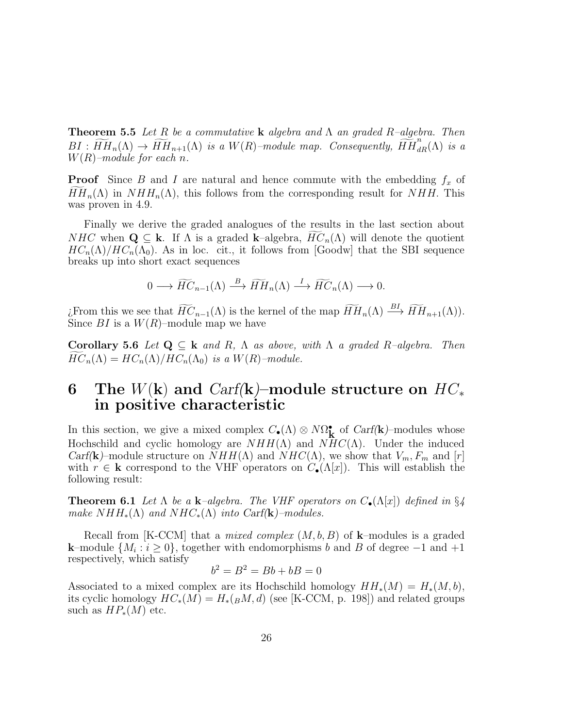**Theorem 5.5** Let R be a commutative **k** algebra and  $\Lambda$  an graded R-algebra. Then  $BI : \widetilde{HH}_{n}(\Lambda) \to \widetilde{HH}_{n+1}(\Lambda)$  is a  $W(R)$ -module map. Consequently,  $\widetilde{HH}_{dR}^{n}(\Lambda)$  is a  $W(R)$ -module for each n.

**Proof** Since B and I are natural and hence commute with the embedding  $f_x$  of  $HH_n(\Lambda)$  in  $NHH_n(\Lambda)$ , this follows from the corresponding result for NHH. This was proven in 4.9.

Finally we derive the graded analogues of the results in the last section about NHC when  $\mathbf{Q} \subseteq \mathbf{k}$ . If  $\Lambda$  is a graded k–algebra,  $\widehat{HC}_n(\Lambda)$  will denote the quotient  $HC_n(\Lambda)/HC_n(\Lambda_0)$ . As in loc. cit., it follows from [Goodw] that the SBI sequence breaks up into short exact sequences

$$
0 \longrightarrow \widetilde{HC}_{n-1}(\Lambda) \stackrel{B}{\longrightarrow} \widetilde{HH}_n(\Lambda) \stackrel{I}{\longrightarrow} \widetilde{HC}_n(\Lambda) \longrightarrow 0.
$$

¿From this we see that  $\widetilde{HC}_{n-1}(\Lambda)$  is the kernel of the map  $\widetilde{HH}_n(\Lambda) \stackrel{BI}{\longrightarrow} \widetilde{HH}_{n+1}(\Lambda)$ . Since  $BI$  is a  $W(R)$ -module map we have

Corollary 5.6 Let  $Q \subseteq k$  and R,  $\Lambda$  as above, with  $\Lambda$  a graded R-algebra. Then  $HC_n(\Lambda) = HC_n(\Lambda)/HC_n(\Lambda_0)$  is a  $W(R)$ -module.

## 6 The  $W(\mathbf{k})$  and  $Carf(\mathbf{k})$ –module structure on  $HC_*$ in positive characteristic

In this section, we give a mixed complex  $C_{\bullet}(\Lambda) \otimes N\Omega_{\mathbf{k}}^{\bullet}$  of Carf(k)–modules whose Hochschild and cyclic homology are  $NHH(\Lambda)$  and  $NHC(\Lambda)$ . Under the induced Carf(k)–module structure on  $NHH(\Lambda)$  and  $NHC(\Lambda)$ , we show that  $V_m$ ,  $F_m$  and  $[r]$ with  $r \in \mathbf{k}$  correspond to the VHF operators on  $C_{\bullet}(\Lambda[x])$ . This will establish the following result:

**Theorem 6.1** Let  $\Lambda$  be a **k**-algebra. The VHF operators on  $C_{\bullet}(\Lambda[x])$  defined in §4 make  $NHH_*(\Lambda)$  and  $NHC_*(\Lambda)$  into Carf(k)–modules.

Recall from [K-CCM] that a *mixed complex*  $(M, b, B)$  of **k**-modules is a graded **k**–module  $\{M_i : i \geq 0\}$ , together with endomorphisms b and B of degree  $-1$  and  $+1$ respectively, which satisfy

$$
b^2 = B^2 = Bb + bB = 0
$$

Associated to a mixed complex are its Hochschild homology  $HH_*(M) = H_*(M, b),$ its cyclic homology  $HC_*(M) = H_*(B M, d)$  (see [K-CCM, p. 198]) and related groups such as  $HP_*(M)$  etc.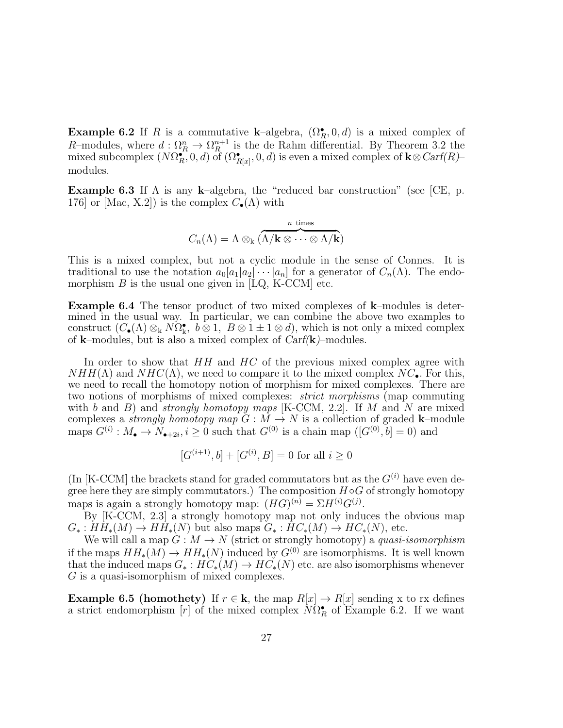**Example 6.2** If R is a commutative **k**-algebra,  $(\Omega_R^{\bullet}, 0, d)$  is a mixed complex of R-modules, where  $d : \Omega_R^n \to \Omega_R^{n+1}$  is the de Rahm differential. By Theorem 3.2 the mixed subcomplex  $(N\Omega_R^{\bullet}, 0, d)$  of  $(\Omega_{R[x]}^{\bullet}, 0, d)$  is even a mixed complex of  $\mathbf{k} \otimes \text{Carf}(R)$ modules.

**Example 6.3** If  $\Lambda$  is any k–algebra, the "reduced bar construction" (see [CE, p. 176] or [Mac, X.2]) is the complex  $C_{\bullet}(\Lambda)$  with

$$
C_n(\Lambda) = \Lambda \otimes_{\mathbf{k}} \underbrace{ \overset{n \text{ times}}{\Lambda/\mathbf{k} \otimes \cdots \otimes \Lambda/\mathbf{k}} }_{n \text{ times}}
$$

This is a mixed complex, but not a cyclic module in the sense of Connes. It is traditional to use the notation  $a_0[a_1|a_2] \cdots a_n]$  for a generator of  $C_n(\Lambda)$ . The endomorphism  $B$  is the usual one given in [LQ, K-CCM] etc.

Example 6.4 The tensor product of two mixed complexes of k–modules is determined in the usual way. In particular, we can combine the above two examples to construct  $(C_{\bullet}(\Lambda) \otimes_k N\Omega_k^{\bullet}, b \otimes 1, B \otimes 1 \pm 1 \otimes d)$ , which is not only a mixed complex of **k**–modules, but is also a mixed complex of  $Carf(\mathbf{k})$ –modules.

In order to show that  $HH$  and  $HC$  of the previous mixed complex agree with  $NHH(\Lambda)$  and  $NHC(\Lambda)$ , we need to compare it to the mixed complex  $NC_{\bullet}$ . For this, we need to recall the homotopy notion of morphism for mixed complexes. There are two notions of morphisms of mixed complexes: strict morphisms (map commuting with b and B) and strongly homotopy maps [K-CCM, 2.2]. If M and N are mixed complexes a *strongly homotopy map*  $G : \overline{M} \to N$  is a collection of graded **k**–module maps  $G^{(i)}: M_{\bullet} \to N_{\bullet+2i}, i \ge 0$  such that  $G^{(0)}$  is a chain map  $([G^{(0)}, b] = 0)$  and

$$
[G^{(i+1)}, b] + [G^{(i)}, B] = 0 \text{ for all } i \ge 0
$$

(In [K-CCM] the brackets stand for graded commutators but as the  $G^{(i)}$  have even degree here they are simply commutators.) The composition  $H \circ G$  of strongly homotopy maps is again a strongly homotopy map:  $(HG)^{(n)} = \Sigma H^{(i)} G^{(j)}$ .

By [K-CCM, 2.3] a strongly homotopy map not only induces the obvious map  $G_*: HH_*(M) \to HH_*(N)$  but also maps  $G_*: HC_*(M) \to HC_*(N)$ , etc.

We will call a map  $G: M \to N$  (strict or strongly homotopy) a quasi-isomorphism if the maps  $HH_*(M) \to HH_*(N)$  induced by  $G^{(0)}$  are isomorphisms. It is well known that the induced maps  $G_* : H\ddot{C}_*(M) \to H\ddot{C}_*(N)$  etc. are also isomorphisms whenever G is a quasi-isomorphism of mixed complexes.

**Example 6.5 (homothety)** If  $r \in \mathbf{k}$ , the map  $R[x] \to R[x]$  sending x to rx defines a strict endomorphism [r] of the mixed complex  $N\Omega_R^{\bullet}$  of Example 6.2. If we want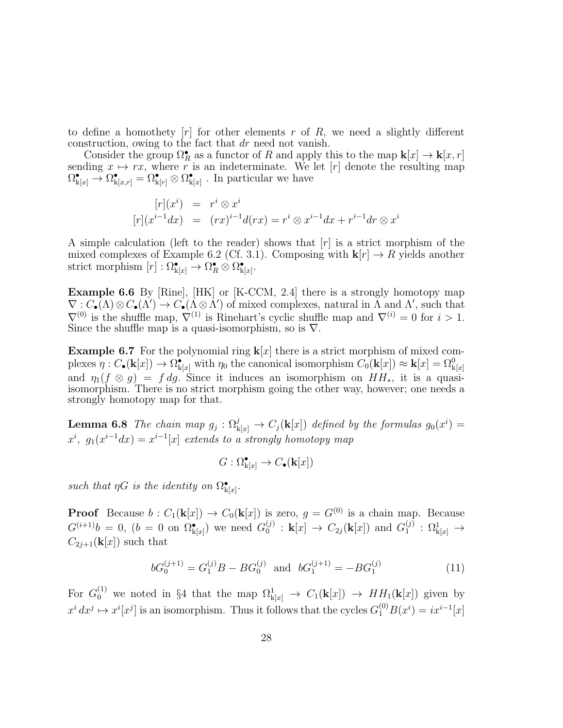to define a homothety  $[r]$  for other elements r of R, we need a slightly different construction, owing to the fact that dr need not vanish.

Consider the group  $\Omega_R^{\bullet}$  as a functor of R and apply this to the map  $\mathbf{k}[x] \to \mathbf{k}[x, r]$ sending  $x \mapsto rx$ , where r is an indeterminate. We let [r] denote the resulting map  $\Omega_{k[x]}^{\bullet} \to \Omega_{k[x,r]}^{\bullet} = \Omega_{k[r]}^{\bullet} \otimes \Omega_{k[x]}^{\bullet}$ . In particular we have

$$
[r](xi) = ri \otimes xi
$$
  

$$
[r](xi-1dx) = (rx)i-1d(rx) = ri \otimes xi-1dx + ri-1dr \otimes xi
$$

A simple calculation (left to the reader) shows that  $[r]$  is a strict morphism of the mixed complexes of Example 6.2 (Cf. 3.1). Composing with  $\mathbf{k}[r] \to R$  yields another strict morphism  $[r] : \Omega_{\mathbf{k}[x]}^{\bullet} \to \Omega_R^{\bullet} \otimes \Omega_{\mathbf{k}[x]}^{\bullet}.$ 

Example 6.6 By [Rine], [HK] or [K-CCM, 2.4] there is a strongly homotopy map  $\nabla: C_{\bullet}(\Lambda) \otimes C_{\bullet}(\Lambda') \to C_{\bullet}(\Lambda \otimes \Lambda')$  of mixed complexes, natural in  $\Lambda$  and  $\Lambda'$ , such that  $\nabla^{(0)}$  is the shuffle map,  $\nabla^{(1)}$  is Rinehart's cyclic shuffle map and  $\nabla^{(i)} = 0$  for  $i > 1$ . Since the shuffle map is a quasi-isomorphism, so is  $\nabla$ .

**Example 6.7** For the polynomial ring  $\mathbf{k}[x]$  there is a strict morphism of mixed complexes  $\eta: C_{\bullet}(\mathbf{k}[x]) \to \Omega_{\mathbf{k}[x]}^{\bullet}$  with  $\eta_0$  the canonical isomorphism  $C_0(\mathbf{k}[x]) \approx \mathbf{k}[x] = \Omega_{\mathbf{k}[x]}^0$ and  $\eta_1(f \otimes g) = f dg$ . Since it induces an isomorphism on  $HH_*$ , it is a quasiisomorphism. There is no strict morphism going the other way, however; one needs a strongly homotopy map for that.

**Lemma 6.8** The chain map  $g_j : \Omega^j_{\mathbf{k}[x]} \to C_j(\mathbf{k}[x])$  defined by the formulas  $g_0(x^i) =$  $x^{i}, g_{1}(x^{i-1}dx) = x^{i-1}[x]$  extends to a strongly homotopy map

$$
G: \Omega_{\mathbf{k}[x]}^{\bullet} \to C_{\bullet}(\mathbf{k}[x])
$$

such that  $\eta G$  is the identity on  $\Omega_{\mathbf{k}[x]}^{\bullet}$ .

**Proof** Because  $b: C_1(\mathbf{k}[x]) \to C_0(\mathbf{k}[x])$  is zero,  $g = G^{(0)}$  is a chain map. Because  $G^{(i+1)}b = 0, (b = 0 \text{ on } \Omega^{\bullet}_{k[x]})$  we need  $G_0^{(j)}$  $S_0^{(j)}: \mathbf{k}[x] \to C_{2j}(\mathbf{k}[x])$  and  $G_1^{(j)}$  $\Omega_k^{(j)} : \Omega_{k[x]}^{1} \longrightarrow$  $C_{2i+1}(\mathbf{k}[x])$  such that

$$
bG_0^{(j+1)} = G_1^{(j)}B - BG_0^{(j)} \text{ and } bG_1^{(j+1)} = -BG_1^{(j)} \tag{11}
$$

For  $G_0^{(1)}$  we noted in §4 that the map  $\Omega_{\mathbf{k}[x]}^1 \to C_1(\mathbf{k}[x]) \to HH_1(\mathbf{k}[x])$  given by  $x^i dx^j \mapsto x^i [x^j]$  is an isomorphism. Thus it follows that the cycles  $G_1^{(0)} B(x^i) = i x^{i-1}[x]$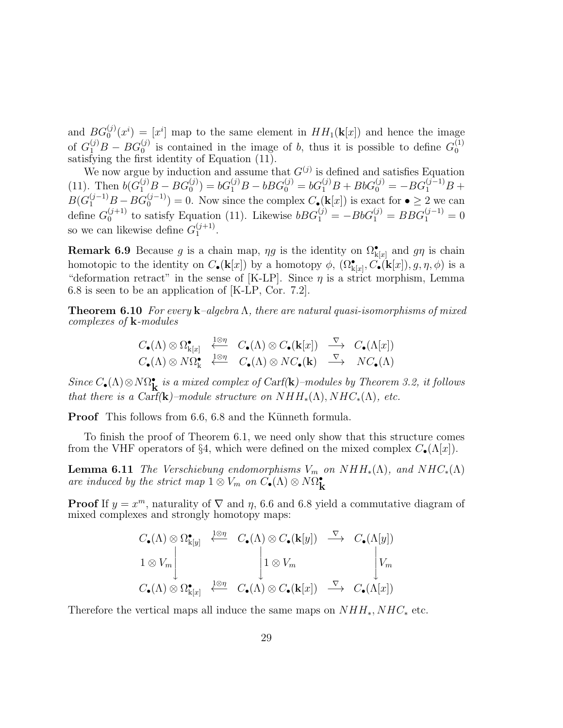and  $BG_0^{(j)}$  $\mathcal{L}_0^{(j)}(x^i) = [x^i]$  map to the same element in  $HH_1(\mathbf{k}[x])$  and hence the image of  $G_1^{(j)}B - BG_0^{(j)}$  $\binom{(j)}{0}$  is contained in the image of b, thus it is possible to define  $G_0^{(1)}$ of  $G_1 D - DG_0$  is contained in the finage of *b*, thus it is possible to define  $G_0$  satisfying the first identity of Equation (11).

We now argue by induction and assume that  $G^{(j)}$  is defined and satisfies Equation (11). Then  $b(G_1^{(j)}B - BG_0^{(j)})$  $b(G_0^{(j)}) = bG_1^{(j)}B - bBG_0^{(j)} = bG_1^{(j)}B + BbG_0^{(j)} = -BG_1^{(j-1)}B +$  $B(G_1^{(j-1)}B - BG_0^{(j-1)})$  $\mathcal{O}_0^{(J-1)}$  = 0. Now since the complex  $C_{\bullet}^{(\mathbf{k}[x])}$  is exact for  $\bullet \geq 2$  we can define  $G_0^{(j+1)}$  $bB G_1^{(j+1)}$  to satisfy Equation (11). Likewise  $bBG_1^{(j)} = -BbG_1^{(j)} = BBG_1^{(j-1)} = 0$ so we can likewise define  $G_1^{(j+1)}$  $1^{(J+1)}$ .

**Remark 6.9** Because g is a chain map,  $\eta g$  is the identity on  $\Omega_{k[x]}^{\bullet}$  and  $g\eta$  is chain homotopic to the identity on  $C_{\bullet}(\mathbf{k}[x])$  by a homotopy  $\phi$ ,  $(\Omega_{\mathbf{k}[x]}^{\bullet}, C_{\bullet}(\mathbf{k}[x]), g, \eta, \phi)$  is a "deformation retract" in the sense of [K-LP]. Since  $\eta$  is a strict morphism, Lemma 6.8 is seen to be an application of [K-LP, Cor. 7.2].

**Theorem 6.10** For every  $\mathbf{k}$ -algebra  $\Lambda$ , there are natural quasi-isomorphisms of mixed complexes of k-modules

$$
C_{\bullet}(\Lambda) \otimes \Omega^{\bullet}_{k[x]} \xrightarrow{\frac{1 \otimes \eta}{\longleftarrow}} C_{\bullet}(\Lambda) \otimes C_{\bullet}(k[x]) \xrightarrow{\nabla} C_{\bullet}(\Lambda[x])
$$
  

$$
C_{\bullet}(\Lambda) \otimes N\Omega^{\bullet}_{k} \xleftarrow{\frac{1 \otimes \eta}{\longleftarrow}} C_{\bullet}(\Lambda) \otimes NC_{\bullet}(k) \xrightarrow{\nabla} NC_{\bullet}(\Lambda)
$$

Since  $C_{\bullet}(\Lambda) \otimes N\Omega_{\bullet}^{\bullet}$  is a mixed complex of Carf(k)–modules by Theorem 3.2, it follows that there is a Carf(k)–module structure on  $NHH_*(\Lambda), NHC_*(\Lambda),$  etc.

**Proof** This follows from 6.6, 6.8 and the Künneth formula.

To finish the proof of Theorem 6.1, we need only show that this structure comes from the VHF operators of §4, which were defined on the mixed complex  $C_{\bullet}(\Lambda[x])$ .

**Lemma 6.11** The Verschiebung endomorphisms  $V_m$  on  $NHH_*(\Lambda)$ , and  $NHC_*(\Lambda)$ are induced by the strict map  $1 \otimes V_m$  on  $C_{\bullet}(\Lambda) \otimes N\Omega_{\mathbf{k}}^{\bullet}$ 

**Proof** If  $y = x^m$ , naturality of  $\nabla$  and  $\eta$ , 6.6 and 6.8 yield a commutative diagram of mixed complexes and strongly homotopy maps:

$$
C_{\bullet}(\Lambda) \otimes \Omega^{\bullet}_{k[y]} \xleftarrow{\frac{1}{2} \otimes \eta} C_{\bullet}(\Lambda) \otimes C_{\bullet}(\mathbf{k}[y]) \xrightarrow{\nabla} C_{\bullet}(\Lambda[y])
$$
  

$$
1 \otimes V_m \qquad \qquad 1 \otimes V_m \qquad \qquad V_m
$$
  

$$
C_{\bullet}(\Lambda) \otimes \Omega^{\bullet}_{k[x]} \xleftarrow{\frac{1}{2} \otimes \eta} C_{\bullet}(\Lambda) \otimes C_{\bullet}(\mathbf{k}[x]) \xrightarrow{\nabla} C_{\bullet}(\Lambda[x])
$$

Therefore the vertical maps all induce the same maps on  $NHH_*, NHC_*$  etc.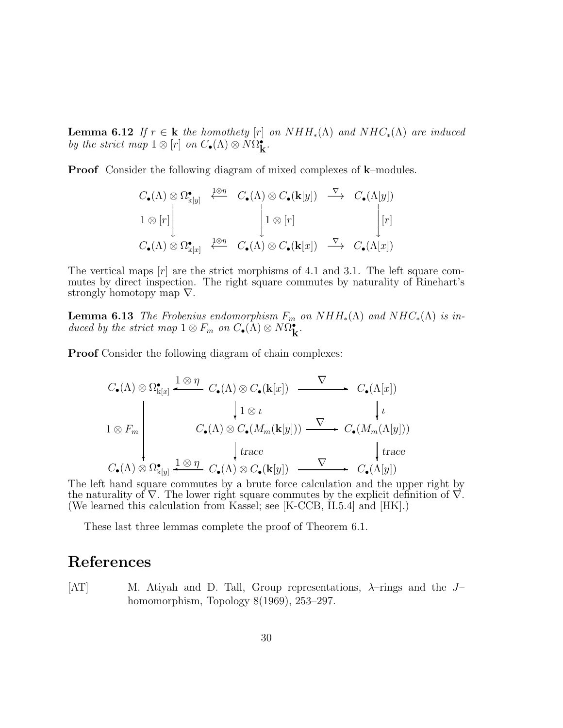**Lemma 6.12** If  $r \in \mathbf{k}$  the homothety [r] on  $NHH_*(\Lambda)$  and  $NHC_*(\Lambda)$  are induced by the strict map  $1 \otimes [r]$  on  $C_{\bullet}(\Lambda) \otimes N\Omega_{\mathbf{k}}^{\bullet}$ .

**Proof** Consider the following diagram of mixed complexes of **k**–modules.

$$
C_{\bullet}(\Lambda) \otimes \Omega^{\bullet}_{k[y]} \xleftarrow{\frac{1 \otimes \eta}{\pi}} C_{\bullet}(\Lambda) \otimes C_{\bullet}(\mathbf{k}[y]) \xrightarrow{\nabla} C_{\bullet}(\Lambda[y])
$$
  
\n
$$
1 \otimes [r] \qquad \qquad 1 \otimes [r] \qquad \qquad [r]
$$
  
\n
$$
C_{\bullet}(\Lambda) \otimes \Omega^{\bullet}_{k[x]} \xleftarrow{\frac{1 \otimes \eta}{\pi}} C_{\bullet}(\Lambda) \otimes C_{\bullet}(\mathbf{k}[x]) \xrightarrow{\nabla} C_{\bullet}(\Lambda[x])
$$

The vertical maps  $[r]$  are the strict morphisms of 4.1 and 3.1. The left square commutes by direct inspection. The right square commutes by naturality of Rinehart's strongly homotopy map  $\nabla$ .

**Lemma 6.13** The Frobenius endomorphism  $F_m$  on  $NHH_*(\Lambda)$  and  $NHC_*(\Lambda)$  is induced by the strict map  $1 \otimes F_m$  on  $C_{\bullet}(\Lambda) \otimes N\Omega_{\mathbf{k}}^{\bullet}$ .

**Proof** Consider the following diagram of chain complexes:

$$
C_{\bullet}(\Lambda) \otimes \Omega^{\bullet}_{k[x]} \xrightarrow{\mathbf{1} \otimes \eta} C_{\bullet}(\Lambda) \otimes C_{\bullet}(\mathbf{k}[x]) \xrightarrow{\nabla} C_{\bullet}(\Lambda[x])
$$
\n
$$
1 \otimes F_{m} \qquad \qquad C_{\bullet}(\Lambda) \otimes C_{\bullet}(M_{m}(\mathbf{k}[y])) \xrightarrow{\nabla} C_{\bullet}(M_{m}(\Lambda[y]))
$$
\n
$$
\downarrow \text{trace}
$$
\n
$$
C_{\bullet}(\Lambda) \otimes \Omega^{\bullet}_{k[y]} \xrightarrow{\mathbf{1} \otimes \eta} C_{\bullet}(\Lambda) \otimes C_{\bullet}(\mathbf{k}[y]) \xrightarrow{\nabla} C_{\bullet}(\Lambda[y])
$$

The left hand square commutes by a brute force calculation and the upper right by the naturality of  $\nabla$ . The lower right square commutes by the explicit definition of  $\nabla$ . (We learned this calculation from Kassel; see [K-CCB, II.5.4] and [HK].)

These last three lemmas complete the proof of Theorem 6.1.

### References

[AT] M. Atiyah and D. Tall, Group representations,  $\lambda$ -rings and the Jhomomorphism, Topology 8(1969), 253–297.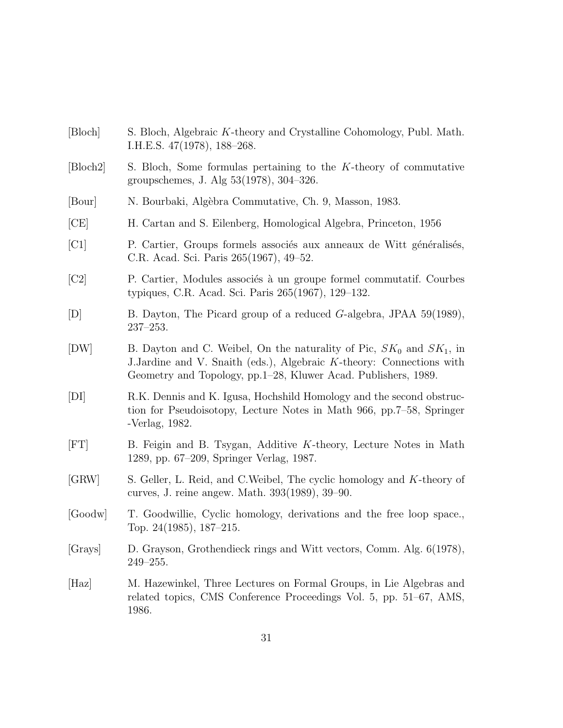- [Bloch] S. Bloch, Algebraic K-theory and Crystalline Cohomology, Publ. Math. I.H.E.S. 47(1978), 188–268.
- [Bloch2] S. Bloch, Some formulas pertaining to the K-theory of commutative groupschemes, J. Alg 53(1978), 304–326.
- [Bour] N. Bourbaki, Alg`ebra Commutative, Ch. 9, Masson, 1983.
- [CE] H. Cartan and S. Eilenberg, Homological Algebra, Princeton, 1956
- [C1] P. Cartier, Groups formels associés aux anneaux de Witt généralisés, C.R. Acad. Sci. Paris 265(1967), 49–52.
- [C2] P. Cartier, Modules associés à un groupe formel commutatif. Courbes typiques, C.R. Acad. Sci. Paris 265(1967), 129–132.
- [D] B. Dayton, The Picard group of a reduced G-algebra, JPAA 59(1989), 237–253.
- [DW] B. Dayton and C. Weibel, On the naturality of Pic,  $SK_0$  and  $SK_1$ , in J.Jardine and V. Snaith (eds.), Algebraic K-theory: Connections with Geometry and Topology, pp.1–28, Kluwer Acad. Publishers, 1989.
- [DI] R.K. Dennis and K. Igusa, Hochshild Homology and the second obstruction for Pseudoisotopy, Lecture Notes in Math 966, pp.7–58, Springer -Verlag, 1982.
- [FT] B. Feigin and B. Tsygan, Additive K-theory, Lecture Notes in Math 1289, pp. 67–209, Springer Verlag, 1987.
- [GRW] S. Geller, L. Reid, and C.Weibel, The cyclic homology and K-theory of curves, J. reine angew. Math. 393(1989), 39–90.
- [Goodw] T. Goodwillie, Cyclic homology, derivations and the free loop space., Top. 24(1985), 187–215.
- [Grays] D. Grayson, Grothendieck rings and Witt vectors, Comm. Alg. 6(1978), 249–255.
- [Haz] M. Hazewinkel, Three Lectures on Formal Groups, in Lie Algebras and related topics, CMS Conference Proceedings Vol. 5, pp. 51–67, AMS, 1986.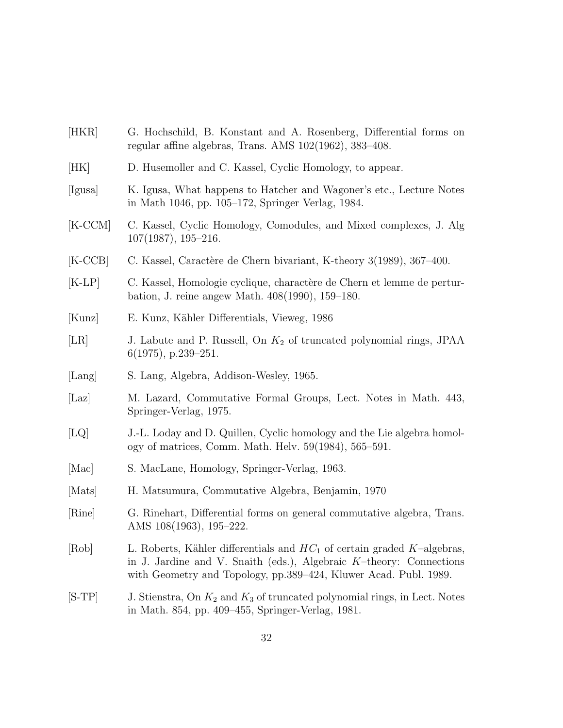- [HKR] G. Hochschild, B. Konstant and A. Rosenberg, Differential forms on regular affine algebras, Trans. AMS 102(1962), 383–408.
- [HK] D. Husemoller and C. Kassel, Cyclic Homology, to appear.
- [Igusa] K. Igusa, What happens to Hatcher and Wagoner's etc., Lecture Notes in Math 1046, pp. 105–172, Springer Verlag, 1984.
- [K-CCM] C. Kassel, Cyclic Homology, Comodules, and Mixed complexes, J. Alg 107(1987), 195–216.
- [K-CCB] C. Kassel, Caractère de Chern bivariant, K-theory 3(1989), 367–400.
- [K-LP] C. Kassel, Homologie cyclique, charactère de Chern et lemme de perturbation, J. reine angew Math. 408(1990), 159–180.
- [Kunz] E. Kunz, Kähler Differentials, Vieweg, 1986
- [LR] J. Labute and P. Russell, On  $K_2$  of truncated polynomial rings, JPAA 6(1975), p.239–251.
- [Lang] S. Lang, Algebra, Addison-Wesley, 1965.
- [Laz] M. Lazard, Commutative Formal Groups, Lect. Notes in Math. 443, Springer-Verlag, 1975.
- [LQ] J.-L. Loday and D. Quillen, Cyclic homology and the Lie algebra homology of matrices, Comm. Math. Helv. 59(1984), 565–591.
- [Mac] S. MacLane, Homology, Springer-Verlag, 1963.
- [Mats] H. Matsumura, Commutative Algebra, Benjamin, 1970
- [Rine] G. Rinehart, Differential forms on general commutative algebra, Trans. AMS 108(1963), 195–222.
- [Rob] L. Roberts, Kähler differentials and  $HC_1$  of certain graded K–algebras, in J. Jardine and V. Snaith (eds.), Algebraic K–theory: Connections with Geometry and Topology, pp.389–424, Kluwer Acad. Publ. 1989.
- $[S-TP]$  J. Stienstra, On  $K_2$  and  $K_3$  of truncated polynomial rings, in Lect. Notes in Math. 854, pp. 409–455, Springer-Verlag, 1981.